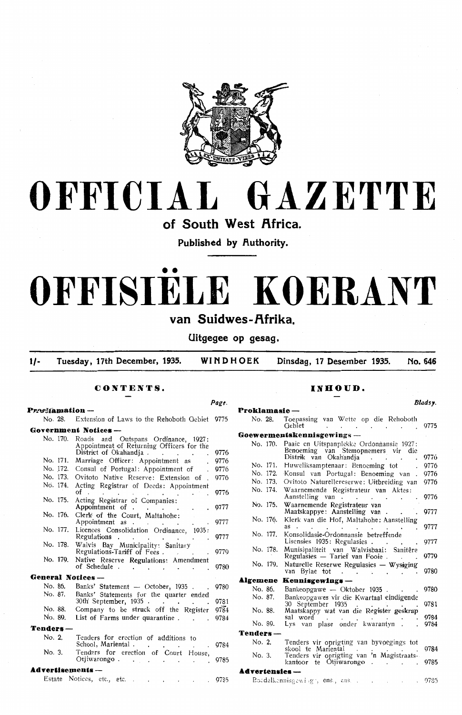

# **OFFICIAL GAZETTE**

of South West Africa.

Published by **Authority**.

# •• **OFFISIELE KOERANT**

# van Suidwes-Afrika.

**Uitgegee op gesag.** 

**1/- Tuesday, 17th December, 1935. WINDHOEK Dinsdag, 17 Desember 1935. No. 646** 

# **CONTENTS.**

**P r~'Y'lllamation** -

**Pagt.** 

|                   | No. 28. Extension of Laws to the Rehoboth Gebiet 9775                                                                            |      |
|-------------------|----------------------------------------------------------------------------------------------------------------------------------|------|
|                   | Government Notices ---                                                                                                           |      |
| No. 170.          | Roads and Outspans Ordinance, 1927:<br>Appointment of Returning Officers for the<br>District of Okahandja.<br>and the control of | 9776 |
| No. 171.          | Marriage Officer: Appointment as                                                                                                 | 9776 |
| No. 172.          | Consul of Portugal: Appointment of                                                                                               | 9776 |
| No. 173.          | Ovitoto Native Reserve: Extension of .                                                                                           | 9776 |
| No. 174.          | Acting Registrar of Deeds: Appointment<br>of.                                                                                    | 9776 |
| No. 175.          | of<br>Acting Registrar of Companies:<br>Appointment of                                                                           | 9777 |
| No. 176.          | Clerk of the Court, Maltahohe:<br>Appointment as                                                                                 | 9777 |
| No. 177.          | Licences Consolidation Ordinance, 1935:<br>Regulations                                                                           | 9777 |
| No. 178.          | Walvis Bay Municipality: Sanitary<br>Regulations-Tariff of Fees                                                                  | 9779 |
| No. 179.          | Native Reserve Regulations: Amendment<br>of Schedule<br>$\ddot{\phantom{0}}$<br>$\ddot{\phantom{0}}$                             | 9780 |
| General Notices - |                                                                                                                                  |      |
| No. 86.           | Banks' Statement - October, 1935.                                                                                                | 9780 |
| No. 87.           | Banks' Statements for the quarter ended<br>30th' September, 1935                                                                 | 9781 |
| No. 88.           | Company to be struck off the Register                                                                                            | 9784 |
| No. 89.           | List of Farms under quarantine                                                                                                   | 9784 |
| Tenders —         |                                                                                                                                  |      |
| No. 2.            | Tenders for erection of additions to<br>School, Mariental.<br>and the state of the state of the                                  | 9784 |
| No. 3.            | Tenders for erection of Court House,<br>Otjiwarongo                                                                              | 9785 |
| Advertisements —  |                                                                                                                                  |      |
|                   | Estate Notices, etc., etc.                                                                                                       | 9785 |
|                   |                                                                                                                                  |      |

## **INHOUD.**

*Bladsy.* 

|                |                                                                                                         | Bladsy.      |
|----------------|---------------------------------------------------------------------------------------------------------|--------------|
| Proklamasie —  |                                                                                                         |              |
| No. 28.        | Toepassing van Wette op die Rehoboth<br>Gebiet<br>$\mathbf{r} = \mathbf{r}$                             | 9775         |
|                | Goewermentskennisgewings -                                                                              |              |
| No. 170.       | Paaie en Uitspanplekke Ordonnansie 1927:<br>Benoeming van Stemopnemers vir die<br>Distrik van Okahandja | 9776         |
| No. 171.       | Huweliksamptenaar: Benoeming tot                                                                        | 9776         |
| No. 172.       | Konsul van Portugal: Benoeming van                                                                      | 9776         |
| No. 173.       | Ovitoto Naturellereserwe: Uitbreiding van                                                               | 9776         |
| No. 174.       | Waarnemende Registrateur van Aktes:<br>Aanstelling van<br>$\ddot{\phantom{0}}$                          | 9776         |
| No. 175.       | Waarnemende Registrateur van<br>Maatskappye: Aanstelling van.                                           | 9777         |
| No. 176.       | Klerk van die Hof, Maltahohe: Aanstelling<br>as                                                         | 9777         |
| No. 177.       | Konsolidasie-Ordonnansie betreffende<br>Lisensies 1935: Regulasies .                                    | 9777         |
| No. 178.       | Munisipaliteit van Walvisbaai:<br>Sanitêre<br>Regulasies - Tarief van Fooie.                            | 9779         |
| No. 179.       | Naturelle Reserwe Regulasies - Wysiging<br>van Bylae tot<br>$\sim$<br>and the contract of               | 9780         |
| Algemene       | Kennisgewings --                                                                                        |              |
| No. 86.        | Bankeopgawe - Oktober 1935.                                                                             | 9780         |
| No. 87.        | Bankeopgawes vir die Kwartaal eindigende<br>30<br>September 1935                                        | 9781         |
| No. 88.        | Maatskappy wat van die Register geskrap                                                                 |              |
| No. 89.        | sal word<br>Lys van plase onder kwarantyn.                                                              | 9784<br>9784 |
| Tenders –      |                                                                                                         |              |
| No. 2.         | Tenders vir oprigting van byvoegings tot<br>skool te Mariental                                          | 9784         |
| No. 3.         | Tenders vir oprigting van 'n Magistraats-<br>kantoor te Otjiwarongo                                     | 9785         |
| Advertensies – |                                                                                                         |              |
|                | Boadelkonnisgewiggt, ens., ens. .<br>$\cdot$<br>$\sim$                                                  | 9785         |
|                |                                                                                                         |              |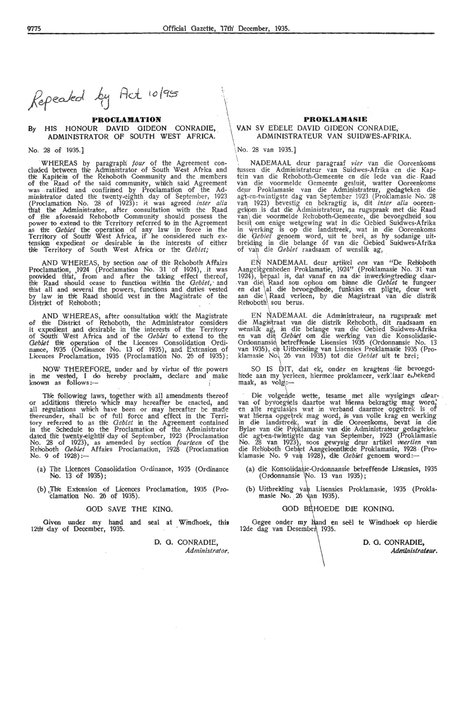I ·1'  $\frac{1}{2}$ .\ I

Repeated by Act 10/95

# By HIS HONOUR DAVID GIDEON CONRADIE, ADMINISTRATOR OF SOUTH WEST AFRICA.

#### No. 2S of 1935.]

WHEREAS by paragraph *four* of the Agreement con-<br>cluded between the Administrator of South West Africa and the Kapitein of the Rehoboth Community and the members<br>of the Raad of the said community, which said Agreement<br>was ratified and confirmed by Proclamation of the Administrator dated the twenty-eighth day of September, 1923 (Proclamation No. 28 of 1923): it was agreed *inter alia* that the Administrator, after consultation with the Raad of the afor,esaid Rehoboth; Community should possess the power to extend to the Territory referred to in the Agreement as the *Oebiet* the operation of any law in force in the Territory of South' West Africa, if he considered such extension expedient or desirable in the interests of either the Territory of South West Africa or the *Gebiet;* 

AND WHEREAS, by section *one* of the Rehoboth Affairs Proclamation, 1924 (Proclamation No. 31 of 1924), it was<br>provided th'at, from and after the taking effect thereof, the Raad should cease to function within the *Gebiet*, and that all and several the powers, functions and duties vested by law in the Raad should vest in the Magistrate of the District of Rehioboth ;

AND WHEREAS, after consultation with the Magistrate of the District of Rehoboth, the Administrator considers it expedient and desirable in the interests of the Territory of South' West Africa and of the *Oebiel* to extend to the *Oebiet* thle operation of the Licences Consolidation Ordi-nance, 1935 (Ordinance No. 13 of 1935), and Extension of Licences Proclamation, 1935 (Proclamation No. 26 of 1935);

NOW THEREFORE, under and by virtue of the powers in me vested, I do hereby proclaim, declare and make known as follows:-

The following laws, together with all amendments thereof or additions thereto which may hereafter be enacted, and all regulations which have been or may hereafter be made thereunder, shall be of full force and effect in the Territory referred to as the *Oebiet* in the Agreement contained in the Schedule to the Proclamation of the Administrator<br>dated the twenty-eighth day of September, 1923 (Proclamation<br>No. 28 of 1923), as amended by section *fourteen* of the Rehoboth *Gebiet* Affairs Proclamation, 1928 (Proclamation<br>No. 9 of 1928):—

- (a) The Licences Consolidation Ordinance, 1935 (Ordinance No. 13 of 1935);
- (b) The Extension of Licences Proclamation, 1935 (Pro-<br>
clamation No. 26 of 1935).

#### GOD SAVE THE KING.

**12th** day of December, 1935. **Decembed 1935. Desembed 1935. Desembed** 1935.

Administrator.

#### **PROCLAMATION** \ **PROKLAMA~E**  VAN SY EDELE DAVID GIDEON CONRADIE, \ ADMINISTRATEUR VAN SUIDWES-AFRIKA.

No. 28 van 1935.]

\ , NADEMAAL deur paragraaf *vier* van die Ooreenkoms fussen die Administrateur van Suidwes-Afrika en die Kaptein van die Rehoboth-Gemeente en die lede van die Raad<br>van die voormelde Gemeente gesluit, watter Ooreenkoms deur Proklamasie van die Administrateur, gedagteken die agt-en-twintigste dag van September 1923 (Proklamasie No: 28 van 1923) bevestig en bekragtig is, dit *inter alia* ooreen-gekom is dat die Administrateur, na rugspraak met die Raad<br>van die voormelde Rehoboth-Gemeente, die bevoegdheid sou<br>besit om enige wetgewing wat in die Gebied Sui in werking is op die Iandstreek, wat in die Ooreenkoms<br>die *Qebiet* genoem word, uit te brei, as hy sodanige uitbreiding in die belange óf van die Gebied Suidwes-Afrika<br>of van die *Gebiet* raadsaam of wenslik ag,

EN NADEMAAL deur artikel een van "De Rehoboth Aangel&genheden Proklamatie, 1924" (Proklamasie No. 31' van 1924), bepaal is, dat vanaf en na die inwerkingtreding daar- van die\ Raad sou ophou om binne die *Oebiet* te fungeer en dat \al die bevoegdhede, funksies en plig en dat \al die bevoegdhede, funksies en pligte, deur wet<br>aan die Raad verleen, by die Magistraat van die distrik Rehioboth\ sou berus.

EN NADEMAAL die Administrateur, na rugspraak met die Magis<sup>i</sup>traat van die distrik Rehoboth, dit raadsaam en<br>wenslik ag, in die belange van die Gebied Suidwes-Afrika<br>en van die *Gebiet* om die werking van die Konsolidasie-Ordonnansie, betreffende Lisensies 1935 (Ordonnansie No. 13 van 1935), en Uitbreiding van Lisensies Proklamasie 1935 (Proklamasie No~ 26 van 1935) tot die *Oebiet* uit te brei;

 $\overline{I}$ SO IS DIT, dat ek, onder en kragtens die bevoegdhede aan my werleen, hiermee proklameer, verklaar enbekend<br>maak, as volg\:-

 $\ddot{\phantom{a}}$ Di•e volgren,de wette, tesam:e met alle wysi,gings at., .. ar- . van of byvoegs,els daartoe wat h1irenna hekragUg mag wora; en aUe regulas\es wat in v,erband daarmee opgdrek is of wat hierna opgetrek mag word, is van volle krag en werking<br>in die landstreek, wat in die Ooreenkoms, bevat in die Bylae van die Proklamasie van die Administrateur gedagteker.<br>die agt-en-twintigste dag van September, 1923 (Proklamasie No. 28 van 1923), soos gewysig deur artikel *veertien* van<br>die Reh'oboth Gebiet Aangeleenthede Proklamasie, 1928 (Proklamasie No. 9 van 1928), die *Gebiet* genoem word:-

- (a) die Konsolidasie-Ordonnansie betreffende Lisensies, 1935 (Ordonnansie \No. 13 van 1935);
- $\mathcal{L}$ (b) Uitbreiding van Lisensies Proklamasie, 1935 (Proklamasie No. 26 van 1935).

#### GOD BEHOEDE DIE KONING.

Given under my hand and seal at Windhoek, this Gegee onder my hand en seel te Windhoek op hierdie



Administrateur.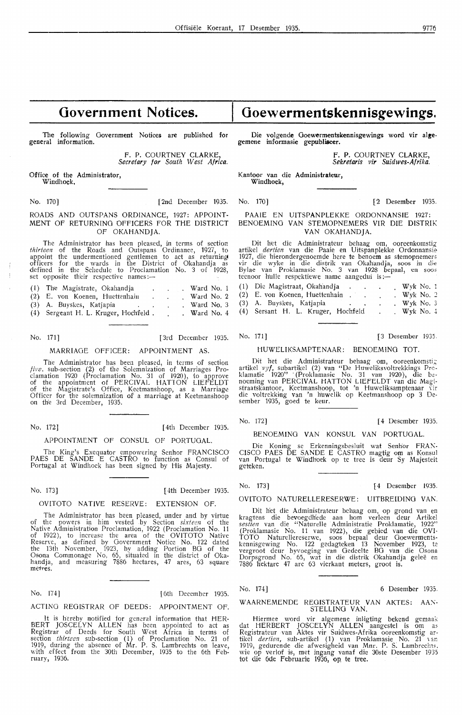# **Government Notices.**

The following Government Notices are published for general information.

> F. P. COURTNEY CLARKE, *Secretary for South West Africa.*

Office of the Administrator, Windhoek,

No. 170] [2nd December 1935. No. 170] [2 Desember 1935.

#### **ROADS AND OUTSPANS ORDINANCE,** 1927: **APPOINT-MENT** OF **RETURNING OFFICERS FOR THE DISTRICT**  OF **OKAHANDJA.**

The Administrator has been pleased, in terms of section *thirteen* of the Roads and Outspans Ordinance, 1927, to appoint the undermentioned gentlemen to act as returning officers for the wards in the District of Okahandja as defined in the Schedule to Proclamation No. 3 of 1928, set opposite their respective names:--

| (1) The Magistrate, Okahandja          |  | . Ward No. $1$ |
|----------------------------------------|--|----------------|
| (2) E. von Koenen, Huettenhain         |  | Ward No. 2     |
| (3) A. Buyskes, Katjapia               |  | . Ward No. 3   |
| $(4)$ Sergeant H. L. Kruger, Hochfeld. |  | . Ward No. $4$ |

The Administrator has been pleased, in terms of section five. sub-section (2) of the Solemnization of Marriages Proclamation 1920 (Proclamation No. 31 of 1920), to approve of the appointment of PERCIVAL HATTON LIEFELDT of the Magistrate's Office, Keetmanshoop, as a Marriage Officer for the solemnization of' a marriage at Keetmanshoop.<br>on the 3rd December, 1935.

No. 172] [ 4th December 1935.

#### APPOINTMENT OF CONSUL OF PORTUGAL.

The King's Exequator empowering Senhor FRANCISCO PAES DE SANDE E CASTRO to function as Consul of Portugal at Windhoek has been signed by His Majesty.

## No. 173] [ 4th December 1935.

#### OVITOTO NATIVE RESERVE: EXTENSION OF.

The Administrator has been pleased, under and by virtue of the powers in him vested by Section *sixteen* of the Native Administration Proclamation, 1922 (Proclamation No. 11 of 1922), to increase the area of the OVITOTO Native Reserve, as defined by Government Notice No. 122 dated the 13th November, 1923, by adding Portion BO of the Osona Commonage No, 65, situated in the district of Okahandja, and measuring 7886 hectares, 47 ares, 63 square metres.

No. 174] [ 6th December 1935.

ACTING REGISTRAR OF DEEDS: APPOINTMENT OF.

It is hereby notified for general information that HER-BERT JOSCELYN ALLEN has been appointed to act as<br>Registrar of Deeds for South West Africa in terms of section *thirteen* sub-section (1) of Proclamation No. 21 of 1919, during the absence of Mr. P. S. Lam'brechts on leave, with .effect from the 30th December, 1935 to the 6th Feb• ruary, 1936.

# **Goewermentskennisgewings.**

Die volgende Goewermentskennisgewings word vir alge**gemene informasie gepubliseer.** 

> F. **P. COURTNEY CLARKE,**  *Sekretaris vir Suidwes-Afrika.*

Kantoor van die **Administrateur, Windhoek,** 

PAAIE EN UITSPANPLEKKE ORDONNANSIE 1927: BENOEMINO VAN STEMOPNEMERS VIR DIE DISTRIK VAN OKAHANDJA.

Dit het die Administrateur behaag om, ooreenkomstig artikel *dertien* van die Paaie en Uitspanplekke Ordonnansie 1927, die hierondergenoemde here te benoem as stemopnemer; vir die wyke in die distrik van Okahandja, soos in die Bylae van Proklamasie No. 3 van 1928 bepaal, en soos teenoor h'ulle respektiewe name aangedui is:-

| (1) Die Magistraat, Okahandja      |  |  | $Wyk$ No. 1 |
|------------------------------------|--|--|-------------|
| (2) E. von Koenen, Huettenhain     |  |  | . Wyk No. 2 |
| (3) A. Buyskes, Katjapia           |  |  | Wyk No. 3   |
| (4) Sersant H. L. Kruger, Hochfeld |  |  | Wyk No. 4   |

No. 171] [3rd December 1935. No. 171] [3 Desember 1935.

#### MARRIAGE OFFICER: APPOINTMENT AS. HUWELIKSAMPTENAAR: BENOEMINO TOT.

Dit het die Administrateur behaag om, ooreenkomstig artikel *vyf,* subartikel (2) van "De Huweliksvoltrekkings Prcklamatie 1920" '(Proklamasie No. 31 van 1920), die be· noeming van PERCIVAL HATTON LIEFELDT van die Magi· straatskantoor, Keetmanshoop, tot 'n Huweliksamptenaar vir die voltrekking van 'n h'uwelik op Keetmanshoop op 3 Desember 1935, goed te keur.

No. 172] [4 Desember 1935.

BENOEMINO VAN KONSUL VAN PORTUGAL.

Die Koning se Erkenningsbesluit wat Senhor FRAN-CISCO PAES DE SANDE E CASTRO magtig om as Konsul<br>van Portugal te Windhoek op te tree is deur Sy Majesteit geteken.

No. 173] [ 4 Desember 1935.

## OVITOTO NATURELLERESERWE: UITBREIDING VAN.

Dit h'et die Administrateur behaag om, op grand van en kragtens die bevoegdh'ede aan horn verleen deur Artikel sestien van die "Naturelle Administratie Proklamatie, 1922" (Proklamasie No. 11 van 1922), die gebied van die OVI· TOTO Naturellereserwe, soos bepaal deur Ooewerments• kennisgewing No. 122 gedagteken 13 November 1923, te<br>vergroot deur byvoeging van Gedeelte BG van die Osona Dorpsgrond No. 65, wat in die distrik Okahiandja gelee en 7886 h'ektare 47 are 63 vierkant meters, groot is.

No. 174] 6 Desember 1935.

WAARNEMENDE REGISTRATEUR VAN AKTES: AAN-STELLING VAN.

Hiermee word vir algemene inligting bekend gemaak dat HERBERT JOSCELYN ALLEN aangestel is om as Registrateur van Aktes vir Suidwes-Afrika ooreenkomstig ar-<br>tikel *dertien,* sub-artikel (1) van Proklamasie No. 21 van 1919, gedurende die afwesigheid van Mnr. P. S. Lambrecht,, wie op verlof is, met ingang vanaf die 30ste Desember 1935 tot die 6de Februarie 1936, op te tree.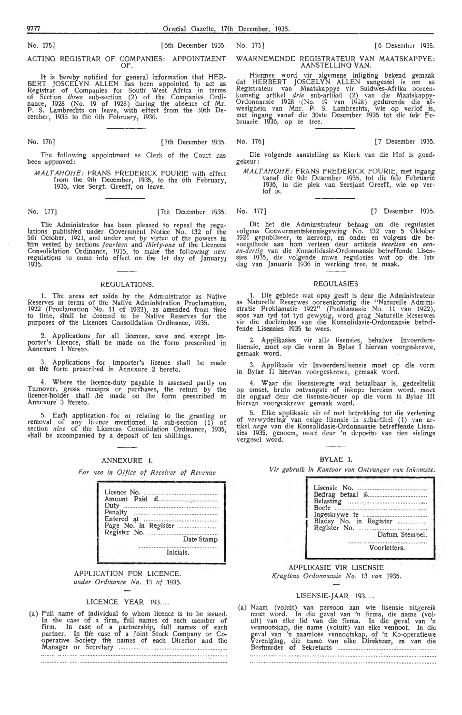No. 175] **[6th December 1935.** No. 175] **[6 Desember 1935.** No. 1761]

ACTING REGISTRAR OF COMPANIES: APPOINTMENT OF.

It is hereby notified for general information that HER-BERT JOSCELYN ALLEN has been appointed to act as Registrar of Companks for South' West Africa in terms of Section *three* sub-section (2) of the Companies Ordi-<br>nance, 1928 (No. 19 of 1928) during the absence of Mr.<br>P. S. Lambrechts on leave, with effect from the 30th December, 1935 to th'e 6th F,ebruary, 1936.

No. 176] [7th December 1935. No. 176] [7 Desember 1935.

The following appointment as Clerk of the Court nas been approved:

MALTAHOHE: FRANS FREDERICK FOURIE with effect from the 9th December, 1935, to the 6th February  $1936$ , vice Sergt. Greeff, on leave.

No. 177] [7th December 1935. No. 177] [7 Desember 1935.

The Administrator has been pleased to repeal the regulations published under Government Notice No. 132 of the<br>5th October, 1921, and under and by virtue of the powers in him vested by sections *fourteen* and *thirty-one* of the Licences Consolidation Ordinance, 1935, to make the following new regulations to come into effect on the 1st day of January 1936.

#### REGULATIONS.

1. The areas set aside by the Administrator as Native Reserves in terms of the Native Administration Proclamation, 1922 (Proclamation No. 11 of 1922), as amended from tim~ to time, sh'all be deemed *to* be Native Reserves for the purposes of the Licences Consolidation Ordinance, 1935.

2. Applications for all licences, save and except Importer's Licence, sh'all be made on the form prescribed in Annexure 1 hereto.

3. Applkations for Importer's licence shall be made on th'e forin prescribed in Annexure 2 hereto.

4. Where the licence-duty payable is assessed partly on Turnover, gross receipts or purchases, the return by the licence-holder shall be made on the form prescribed in Annexure<sup>3</sup> 'h'ereto.

5. Each application for or relating to the granting or removal of any licence mentioned in sub-section (1) of section *nine* of the Licences Consolidation Ordinance, 1935, sh'all be accompanied by a deposit of ten shillings.

#### ANNEXURE I.

For use in Office of Receiver of Revenue

| Date Stamp |
|------------|
| Initials.  |

APPLICATION FOR LICENCE. *un,der Ordinance No .* 13 *of* 1935.

#### LICENCE YEAR 193......

(a) Full name of individual to wh'om licence is to be issued. **ln** fh:e case of a firm, full names of each member of firm. **In** case of a partnership, full names of each partner. In the case of a Joint Stock Company or Co-<br>perative Society the names of each Director and the Manag,er or Secretary ·

#### WAARNEMENDE REOISTRATEUR VAN MAATSKAPPYE: AANSTELLING VAN.

Hiermee word vir algemene inligting bekend gemaak dat HERBERT JOSCELYN ALLEN aangestel is om as<br>Registrateur van Maatskappye vir Suidwes-Afrika ooreen-<br>komstig artikel *drie* sub-artikel (2) van die Maatskappy-Ordonnansie 1928 (No. 19 van 1928) gedurende die afwesigheid van Mnr. P. S. Lambrechts, wie op verlof is, met ingang vanaf die 30ste Desember 1935 tot die 6de Fe-bruarie 1936, op te tree.

Die volgende aanstelling as Klerk van die Hof is goed- gekeur:

MALTAHOHE: FRANS FREDERICK FOURIE, met ingang vanaf die 9de Desember 1935, tot die 6de Februarie 1936, in die plek van Sersjant Greeff, wie op ver-<br>lof is.

Dit h'et die Administrateur behaag om die regulasies volgens Goewermentskennisgewing No. 132 van 5 Oktober 1921 gepubliseer, te herroep, en onder en volgens die bevoegdhede aan hom verleen deur artikels *veertien* en *een-en-dertig* van die Konsolidasie-Ordonnansie betreffende Lisensies 1935, die volgende nuwe regulasies wat op die 1ste dag van Januarie 1936 in werking tree, te maak.

#### REGULASIES

1. Die gebiede wat opsy gesit is deur die Administrateur as Naturelle Reserwes ooreenkomstig die "Naturelle Administratie Proklamatie 1922'' (Proklamasie No. 11 van 1922),<br>soos van tyd tot tyd gewysig, word geag Naturelle Reserwes vir die doeleindes van die Konsolidasie-Ordonnansie betreffende Lisensies 1935 te wees.

2. Applikasies vir alle lisensies, behalwe Invoerders-<br>Iisensie, moet op die vorm in Bylae I hiervan voorgeskrewe, gemaak word.

3. Applikasie vir Invoerderslisensie moet op die vorm in Bylae II hiervan voorgeskrewe, gemaak word.

4. Waar die lisensieregte wat betaalbaar is, gedeeltelik op omset, bruto ontvangste of inkope bereken word, moet die opgaaf deur die lisensie-h:ouer op die vorm in Bylae III hiervan voorgeskrewe gemaak word.

5. Elke applikasie vir of met betrekking tot die verlening of verwydering van enige lisensie in subartikel (1) van ar-<br>tikel *nege* van die Konsolidasie-Ordonnansie betreffende Lisensies 1935, genoem, moet deur 'n deposito van tien sielings vergesel word.



Vir gebruik in Kantoor van Ontvanger van *Inkomste*.

| Lisensie No.<br>Bladsy No. in Register<br>Datum Stempel. |
|----------------------------------------------------------|
| Voorletters.                                             |

APPLIKASIE VIR LISENSIE *Kraglens Ordonnansle No.* 13 *van* 1935.

#### LISENSIE-JAAR 193 ......

(a) Naam (voluit) van persoon aan wie lisensie uitgereik moet word. In die geval van 'n firma, die name (voluit) van elke lid van die firma. In die geval van 'n vennootskap, die name (voluit) van elke vennoot. In die geval van 'n naamlose vennootskap, of 'n Ko-operatiewe Verenigi:ng, die name van elke Direkteur, ,en van die Bestuurder of Sekr-etaris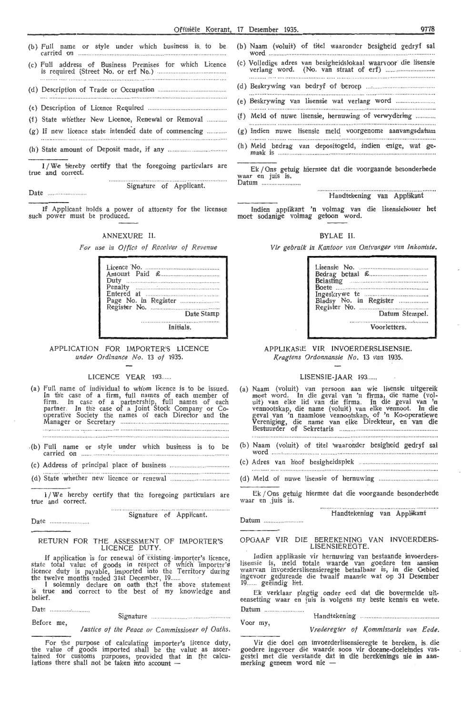| (b) Full name or style under which business is to be                        |
|-----------------------------------------------------------------------------|
|                                                                             |
|                                                                             |
|                                                                             |
| (f) State whether New Licence, Renewal or Removal                           |
| (g) If new licence state intended date of commencing                        |
|                                                                             |
| 1/We hereby certify that the foregoing particulars are<br>true and correct. |

··•········" ... .... . ...... .. , .. ........ . Signature of Applicant. Date .............

If Applicant holds a power of attorney for the licensee such power must be produced.

#### ANNEXURE II.

For use in Office of Receiver of Revenue

|           | Date Stamp |
|-----------|------------|
| Initials. |            |

APPLICATION FOR IMPORTER'S LICENCE *under Ordi:zance No.* 13 *of* 1935.

#### LICENCE YEAR 193......

- (a) Full name of individual to wh'om licence is to be issued. In th'e case of a firm, full names of each member of firm. In case of a partnership, full names of each partner. In the case of a Joint Stock Company or Cooperative Society the names of each Director and the Manager or Secretary ........................ .
- . (b) Full name or carried on style under which business is to be

(c) Address of principal place of business ..

. (d) State whether new licence or renewal

I / We hereby certify that the foregoing particulars are true and correct.

Signature of Applicant.

Date

Before me,

#### RETURN FOR THE ASSESSMENT OF IMPORTER'S LICENCE DUTY.

If application is for renewal of existing importer's licence, state total value of goods in respect of which importer's licence duty is payable, imported into the Territory during

the twelve months ended 31st December, 19 ......<br>I solemnly declare on oath that the above statement is true and correct to the best of my knowledge and belief.

Date Sig-nature

*Justice of the Peace or Commissioner of Oaths.* 

for the purpose of calculating importer's licence duty, the value of goods imported shall be the value as ascer- tained for customs purposes, provided that in the calculations there shall not be taken into account  $-$ 

- (b) Naam (voluit) of titel waaronder besigheid gedryf sal ~~ ····· ··· ························ ·············· ····· ··················
- (c) Volledige adres van besigheidslokaal waarvoor die lisensie<br>verlang word. (No. van straat of erf) .............................
- (d) Beskrywing van bedryf of 'beroep (e) Beskrywing Van Usensie wat verlang word
- 
- (f) Meld of nuwe Jisensi,e, hernuwing of verwydering ........... .
- (g) Indien nuwe Hsensie meld\_ voorgenome aanvangsdatum (h) Meld bedrag van depositogeld, indien enige, wat ge-
- maak is ... .... . .......................... ................. .. ...... .. ...... ..

Ek / Ons getuig hiermee dat die voorgaande besonderhede waar en juis is. Datum .......

#### Handtekening van Applikant

Indien applikant 'n volmag van die lisensiehouer het moet sodanige volmag geroon word.

#### BYLAE II.

Vir gebruik in Kantoor van Ontvanger van Inkomste.

| <b>Boete</b>           |
|------------------------|
| Bladsy No. in Register |
|                        |
|                        |
| Voorletters.           |

APPLIKASIE VIR INVOERDERSLISENSIE. *Kragtens Ordonnansie No.* 13 *van* 1935.

#### LISENSIE-JAAR 193......

- (a) Naam (voluit) van persoon aan wie lisensie uitgereik moet word. In die geval van 'n firma, die name (vol-uit) van elke lid van die firma. In die geval van 'n vennootskap, die name (voluit) van elke vennoot. In die<br>geval van 'n naamlose vennootskap, of 'n Ko-operatiewe Verenig.ing, die name van elke Direkteur, en van die Bestuurder of Sekretaris .............. .. .... ... ... .. . .. ............. ..
- (b) Naam (voluit) of titel waaronder besigheid gedryf sal word ..... · ....................................... ..
- (c) Adres van hoof besigheidspkk
- (d) Meld of nuwe lisensie of hernuwing ............

Ek / Ons getuig hiermee dat die voorgaande besonderhede waar en juis is.

. ................. ....... ···· ······""'""" Handtekening van Appl:ikant

#### OPGAAF VIR DIE BEREKENING VAN INVOERDERS-LISENSIEREOTE.

Indien applikasie vir her**nu**wing van besta**ande invoerders**lisensie is, meld totale waarde van goedere ten aansien<br>waarvan invoerderslisensieregte betaalbaar is, in die Oebied ingevoer gedurende die twaalf maande wat op 31 Desember 19...... geëindig het.

Ek verklaar plegtig onder eed dat die bovermelde uit-<br>eensetting waar en juis is volgens my beste kennis en wete. Datum ....

Voor my,

Datum

*Vred,eregter of Kommissaris van Eede.* 

Handtekening

Vir die doel om invoerderlisensieregte te bereken, is die goedere ingevoer die waarde soos vir doeane-doeleindes vas-<br>gestel met die verstande dat in die berekenings nie in aan-<br>merking geneem word nie --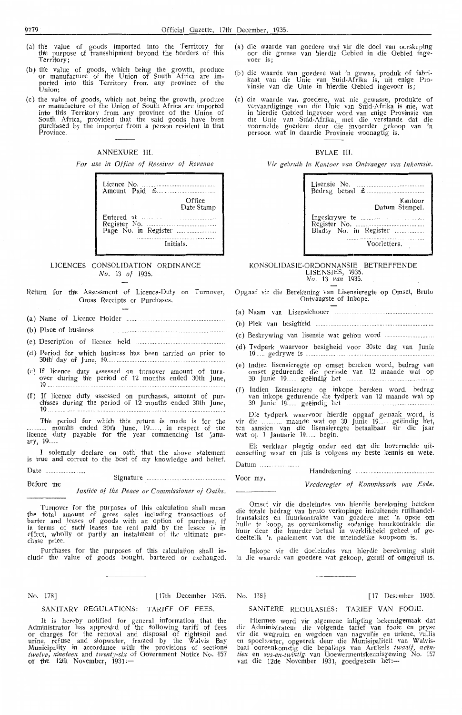- (a) the value of goods imported into the Territory for the purpose of transshipment beyond the borders of this Territory;
- (b) the value of goods, which being the growth, produce or manufacture of the Union of South Africa are imported into this Territory from any province of the portered<br>Union;
- (c) thle value of goods, which not being the growth, produce or manufacture of the Union of South Africa are imported into this Territory from any province of the Union of South' Africa, provided that the said goods have been purchased by the importer from a person resident in that Province.

#### ANNEXURE III.

*For use in Office of Receiver of Revenue* 

| Licence $No$ ,<br>Amount Paid $\mathcal{L}$ |
|---------------------------------------------|
| Office<br>Date Stamp                        |
| $Entered$ at $\ldots$ $\ldots$ $\ldots$     |
| Initials.                                   |

#### LICENCES CONSOLIDATION ORDINANCE No. 13 of 1935.

Return for the Assessment of Licence-Duty on Turnover, Gross Receipts or Purchases.

- (a} Name of Licence Holder
- (b) Place of business
- (c). Description of licence held
- (d) P,eriod for whi'Ch business hlas been carrie d on prior *to*  30fhr day of June, 19 .......... .... .... .
- (e) If licence duty assessed on turnover amount of turnover during the period of 12 months ended 30th June,  $19...$
- (f) If licence duty assessied on purchases, amount of purch1ases during the per.iod of 12 months ,ended 3Dth June, *19* ... ....... . ......... .

The period for which this return is made is for the ...... month's ended 30th June, 19......, in respect of the licence duty payable for the year commencing 1st January, 19....

I solemnly declare on oath that the above statement is true and correct to the best of my knowledge and belief.

Date .................... .. . Before me Signature ....... .

*Justice of the Peace or Commissioner of Oaths.* 

Turnover for the purposes of this calculation shall mean the total amount of gross sales including transactions of barter and leases of goods with' an option of purchase, if in terms of such leases the rent paid by the lessee is in effect, wholly or partly an instalment of the ultimate purchase price

Purchases for the purposes of this calculation shall in clude the value of goods bought, bartered or exchanged

#### SANITARY REGULATIONS: TARIFF OF FEES. SANITERE. REOULASIES: TARIEF VAN FOOIE.

It is hereby notified for general information that the Administrator has approved of the following tariff of fees or charges for the removal and disposal of nightsoil and urine, refuse and slopwater, framed by the Walvis Bay Municipality in accordance with the provisions of sections *twelve, nineteen and twenty-six of Government Notice No. 157* of the 12th November, 1931:-

- (a) die waarde van goedere wat vir die doel van oorskeping oor die grense van hierdie Oebied in die Oebied inge-<br>voer is:
- (b) die waarde van goedere wat 'n gewas, produk of fabrikaat van die Unie van Suid-Afrika is, uit enige Provinsie van die Unie in hierdie Gebied ingevoer is;
- (c) die waarde van goedere, wat nie gewasse, produkte of vervaardiginge van die Unie van Suid-Afrika is nie, wat in hierdie Gebied ingevoer word van enige Provinsie van<br>die Unie van Suid-Afrika, met die verstande dat die<br>voormelde goedere deur die invoerder gekoop van 'n persoon wat in daardie Provinsie woonagtig is.

#### BYLAE III.

*Vir* gebru.ik *in Kantoor van Ontvanger v'an lnkomste.* 

| Kantoor<br>Datum Stempel. |
|---------------------------|
| Bladsy No. in Register    |
| Voorletters.              |

# KONSOLIDASIE-ORDONNANSIE BETREFFENDE LISENSIES, 1935. *No.* 13 *van* 1935.

Opgaaf vir die Berekening van Lisensieregte op Omset, Bruto

- Ontvangste of Inkope.
- (a) Naam van Lisensiehouer
- (b) Piek van besigh'eid
- (c) Bes'krywing van lis·ensie wat gehou word
- (d) Tydperk waarvoor besigheid voor 30ste dag van Junie  $19...$  gedrywe is  $...$
- (e) Indien lisensieregte op omset bereken word, bedrag van omset gedurende die periode van 12 maande wat op 30 Jume 19 .... .. geeind1g het .. .. , . ...... . .... .
- (f) lndien Hsensieregte op inkope bereken word, bedrag van inkope gedurende die tydperk van 12 maande wat op 30 Junie 19..... geëindig het

Die tydperk waarvoor hierdie opgaaf gemaak word, is vir die ............ maande wat op 30 Junie 19 ...... geëindig het, ten aansien van die lisensieregte betaalbaar vir die jaar wat op 1 Januarie 19 ...... begin.

Ek verklaar piegtig onder eed dat die bovermelde uit- eensetting waar en juis is volgens my beste kennis en wete.

| Voor my, |                                      |  |
|----------|--------------------------------------|--|
|          | Vrederegter of Kommissaris van Eede. |  |

Omset vir die doeleindes van hierdie berekening beteken die totale bedrag van bruto verkopinge insluitende ruilhandeltransaksies en huurkontrakte van goedere met 'n opsie om hulle te koop, as ooreenkomstig sodanige huurkontrakte die h'uur deur die huurder betaal in werklikheid geheel of gedeeltelik 'n paaiement van die uiteindelike koopsom is.

Inkope vir die doeleindes van hierdie berekening sluit in die waarde van goedere wat gekoop, geruil of omgeruil is

## No. 178] [ 17th December 1935. No. 178] [ 17 Desember 1935

Hiermee word vir algemene inligting bekendgemaak dat die Administrateur die volgende tarief van fooie en pryse vir die wegruim en wegdoen van nagvullis en uriene, vullis en spoelwater, opgetrek deur die Munisipaliteit van Walvisbaai ooreenkomstig die bepalings van Artikels *twaalf, neën* tien en ses-en-twintig van Goewermentskennisgewing No. 157<br>van die 12de November 1931, goedgekeur het:-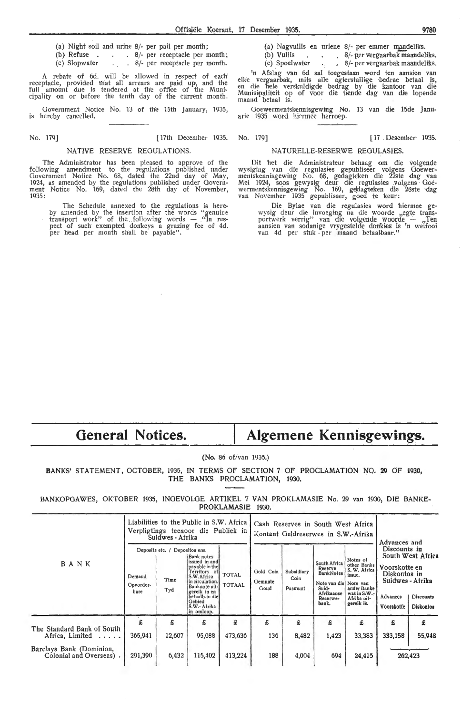- (a) Night soil and urine  $8/-$  per pail per month;<br>(b) Refuse . . . . 8/- per receptacle per n
- (b) Refuse  $\therefore$   $\therefore$  8/- per receptacle per month;<br>(c) Slopwater  $\therefore$  8/- per receptacle per month. . 8/- per receptacle per month.

rebate of 6d. will be allowed in respect of each receptacle, provided that all arrears are paid up, and the full amount due is tendered at the office of the Muni-<br>cipality on or before the tenth day of the current month.

Government Notice No. 13 of th'e 15th January, 1935, is hereby cancelled.

No. 179] [ 17th December 1935. No. 179] [ 17 . Desember 1935.

#### NATIVE RESERVE REGULATIONS.

The Administrator has been pleased to approve of the following amendment *to* the regulations published under Government Notice No. 68, dated the 22nd day of May, 1924, as amended by the regulations published under Govern-<br>ment Notice No. 169, dated the 28th day of November, 1935:

The Schedule annexed to the regulations is hereby amended by the insertion after the words "genuine transport work" of the following words -- "In res-<br>pect of such exempted donkeys a grazing fee of 4d. per head per month shall be payable".

(a) Nagvullis en uriene 8/- per emmer mandeliks.<br>(b) Vullis . . . . . 8/- per vergaarbak maandel

(b) Vullis  $\begin{array}{ccc} 8/1 \text{ per vergaarbak maandeliks.} \\ (c) \text{ Spoelwater} \\ (d) \text{ [2]} \end{array}$ (c)  $\frac{1}{2}$  S/- per vergaarbak maandeliks.

'n Afslag van 6d sal toegestaan word ten aansien van elke vergaarbak, mits alle agterstallige bedrae betaal is,<br>en die hele verskuldigde bedrag by die kantoor van die Munisipaliteit op of voor die tiende dag van die lopende<br>maand betaal is.

Goewermentskennisgewing No. 13 van die 15de Janu-<br>arie 1935 word hiermee herroep.

#### NATURELLE-RESERWE REGULASIES.

Dit het die Administrateur behaag om die volgende<br>wysiging van die regulasies gepubliseer volgens Goewer-<br>mentskennisgewing No. 68, gedagteken die 22ste dag van<br>Mei 1924, soos gewysig deur die regulasies volgens Goe-<br>werme

Die Bylae van die regulasies word hiermee gewysig deur die invoeging na die woorde ,,egte trans-<br>portwerk verrig'' van die volgende woorde .... ,,Ten aansien van sodanige vrygestelde donkies is 'n weifooi<br>van 4d per stuk per maand betaalbaar.''

# **General Notices.**

# **Algemene Kennisgewings.**

(No. 86 of/van 1935.)

BANKS' STATEMENT, OCTOBER, 1935, IN TERMS OF SECTION 7 OF PROCLAMATION NO. 29 OF 1930, THE BANKS PROCLAMATION, 1930.

BANKOPGAWES, OKTOBER 1935, INGEVOLGE ARTIKEL 7 VAN PROKLAMASIE No. 29 van 1930, DIE BANKE-PROKLAMASIE 1930.

|                                                    |                             | Suidwes - Afrika                              | Liabilities to the Public in S.W. Africa<br>Verpligtings teenoor die Publiek in                                                                                                            |                               |                              | Cash Reserves in South West Africa<br>Kontant Geldreserwes in S.W.-Afrika | Advances and                                                                                                     |                                                                                                               |                                                                                             |                                                           |
|----------------------------------------------------|-----------------------------|-----------------------------------------------|--------------------------------------------------------------------------------------------------------------------------------------------------------------------------------------------|-------------------------------|------------------------------|---------------------------------------------------------------------------|------------------------------------------------------------------------------------------------------------------|---------------------------------------------------------------------------------------------------------------|---------------------------------------------------------------------------------------------|-----------------------------------------------------------|
| BANK                                               | Demand<br>Opvorder-<br>bare | Deposits etc. / Depositos ens.<br>Time<br>Tyd | Bank notes<br>issued in and<br>payable in the<br>Territory of<br>S.W.Africa<br>in circulation.<br>Banknote uit-<br>gereik in en<br>betaalb.in diel<br>Gebied<br>S.W.- Afrika<br>in omloop. | <b>TOTAL</b><br><b>TOTAAL</b> | Gold Coin<br>Gemunte<br>Goud | Subsidiary<br>Coin<br>Pasmunt                                             | South Africa<br>Reserve<br><b>BankNotes</b><br>Note van die Note van<br>Suid-<br>Afrikaanse<br>Reserwe-<br>bank. | Notes of<br>other Banks<br>S. W. Africa<br>issue.<br>ander Banke<br>wat in S.W.-<br>Afrika uit-<br>gereik is. | Discounts in<br>Voorskotte en<br>Diskontos in<br>Suidwes - Afrika<br>Advances<br>Voorskotte | South West Africa<br><b>Discounts</b><br><b>Diskontos</b> |
| The Standard Bank of South<br>Africa, Limited      | £<br>365,941                | £<br>12,607                                   | £<br>95,088                                                                                                                                                                                | £<br>473,636                  | £<br>136                     | £<br>8,482                                                                | £<br>1,423                                                                                                       | £<br>33,383                                                                                                   | £<br>333,158                                                                                | £<br>55,948                                               |
| Barclays Bank (Dominion,<br>Colonial and Overseas) | 291,390                     | 6,432                                         | 115,402                                                                                                                                                                                    | 413,224                       | 188                          | 4,004                                                                     | 694                                                                                                              | 24,415                                                                                                        |                                                                                             | 262,423                                                   |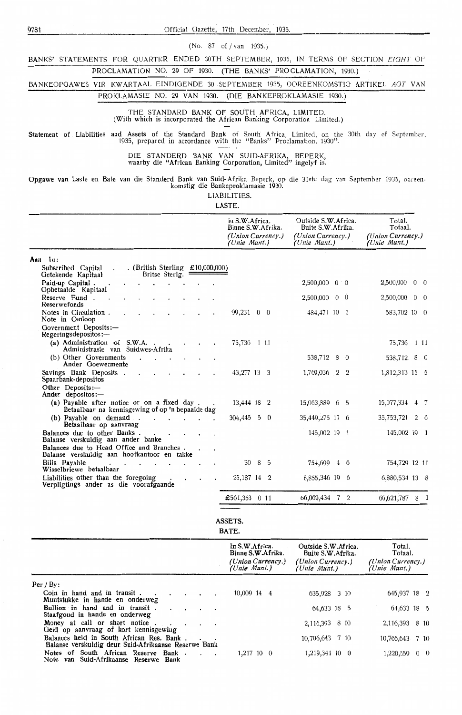9781 Official Gazette, 17th December, 1935.

(No. 87 of/ van 1935.)

BANKS' STATEMENTS FOR QUARTER ENDED 30TH SEPTEMBER, 1935, IN TERMS OF SECTION EIGHT OF

# PROCLAMATION NO. 29 OF 1930. (THE BANKS' PROCLAMATION, 1930.)

BANKEOPGAWES VIR KWARTAAL EINDIGENDE 30 SEPTEMBER 1935, OOREENKOMSTIG ARTIKEL AGT VAN

# PROKLAMASIE NO. 29 VAN 1930. (DIE BANKEPROKLAMASIE 1930.)

THE STANDARD BANK OF SOUTH AFRICA, LIMITED. (With which is incorporated the African Banking Corporation Limited.)

Statement of Liabilities and Assets of the Standard Bank of South Africa, Limited, on the 30th clay of September, 1935, prepared in accordance with the " Banks" Proclamation. 1930".

DIE STANDERD BANK VAN SUID-AFRIKA, BEPERK, waarby die "African Banking Corporation, Limited" ingelyf is.

Opgawe van Laste en Bate van die Standerd Bank van Suid-Afrika Beperk, op di•e 30ste dag van Septemher 1935, ooreen- komstig die Bankeproklamasie 1930.

LIABILITIES.

LASTE.

|                                                                                                 | In S.W.Africa.<br>Binne S.W.Afrika.<br>(Union Currency.)<br>(Unie Munt.) | Outside S.W. Africa.<br>Buite S.W.Afrika.<br>(Union Currency.)<br>(Unie Munt.) | Total.<br>Totaal.<br>(Union Currency.)<br>(Unie Munt.) |
|-------------------------------------------------------------------------------------------------|--------------------------------------------------------------------------|--------------------------------------------------------------------------------|--------------------------------------------------------|
| Aan lo:                                                                                         |                                                                          |                                                                                |                                                        |
| . (British Sterling £10,000,000)<br>Subscribed Capital<br>Britse Sterlg.<br>Getekende Kapitaal  |                                                                          |                                                                                |                                                        |
| Paid-up Capital.<br>Opbetaalde Kapitaal                                                         |                                                                          | $2,500,000$ 0 0                                                                | 2,500,000<br>$0\quad 0$                                |
| Reserve Fund.<br>Reserwefonds                                                                   |                                                                          | 2,500,000 0 0                                                                  | 2,500,000 0 0                                          |
| Notes in Circulation.<br>Note in Omloop                                                         | 99,231 0 0                                                               | 484,471 10 0                                                                   | 583,702 10 0                                           |
| Government Deposits:-<br>Regeringsdepositos:-                                                   |                                                                          |                                                                                |                                                        |
| (a) Administration of S.W.A. .<br>Administrasie van Suidwes-Afrika                              | 75,736 1 11                                                              |                                                                                | 75,736 1 11                                            |
| (b) Other Governments<br>Ander Goewermente                                                      |                                                                          | 538,712 8 0                                                                    | 538,712 8 0                                            |
| Savings Bank Deposits.<br>Spaarbank-depositos                                                   | 43,277 13 3                                                              | 1,769,036<br>$2\quad 2$                                                        | 1,812,313 15 5                                         |
| Other Deposits: $-$<br>Ander depositos:-                                                        |                                                                          |                                                                                |                                                        |
| (a) Payable after notice or on a fixed day.<br>Betaalbaar na kennisgewing of op 'n bepaalde dag | 13,444 18 2                                                              | 15,063,889 6 5                                                                 | 15,077,334<br>$4 \t7$                                  |
| (b) Payable on demand.<br>Betaalbaar op aanvraag                                                | $304,445$ 5 0                                                            | 35,449,275 17 6                                                                | $2\quad 6$<br>35,753,721                               |
| Balances due to other Banks.<br>Balanse verskuldig aan ander banke                              |                                                                          | 145,002 19 1                                                                   | 145,002 19 1                                           |
| Balances due to Head Office and Branches.<br>Balanse verskuldig aan hoofkantoor en takke        |                                                                          |                                                                                |                                                        |
| Bills Payable<br>Wisselbriewe betaalbaar                                                        | 8 5<br>30                                                                | 754,699 4 6                                                                    | 754,729 12 11                                          |
| Liabilities other than the foregoing<br>Verpligtings ander as die voorafgaande                  | 25,187 14 2                                                              | 6,855,346 19 6                                                                 | 6,880,534 13 8                                         |
|                                                                                                 | £561,353 0 11                                                            | 66,060,434 7 2                                                                 | 66, 621, 787 8 1                                       |
|                                                                                                 | ASSETS.<br>BATE.                                                         |                                                                                |                                                        |
|                                                                                                 | In S.W.Africa.<br>Binne S.W.Afrika.<br>(Union Currency.)<br>(Unie Munt.) | Outside S.W.Africa.<br>Buite S.W. Afrika.<br>(Union Currency.)<br>(Unie Munt.) | Total.<br>Totaal.<br>(Union Currency.)<br>(Unie Munt.) |

| Per / By:                                                                                         |  |  |              |  |                 |  |                 |  |
|---------------------------------------------------------------------------------------------------|--|--|--------------|--|-----------------|--|-----------------|--|
| Coin in hand and in transit. $\cdot$ . $\cdot$<br>Muntstukke in hande en onderweg                 |  |  | 10,009 14 4  |  | 635,928 3 10    |  | 645,937 18 2    |  |
| Bullion in hand and in transit.<br>Staafgoud in hande en onderweg                                 |  |  |              |  | 64,633 18 5     |  | 64,633 18 5     |  |
| Money at call or short notice<br>Geld op aanvraag of kort kennisgewing                            |  |  |              |  | 2,116,393 8 10  |  | 2,116,393 8 10  |  |
| Balances held in South African Res. Bank.<br>Balanse verskuldig deur Suid-Afrikaanse Reserwe Bank |  |  |              |  | 10,706,643 7 10 |  | 10,706,643 7 10 |  |
| Notes of South African Reserve Bank.<br>Note van Suid-Afrikaanse Reserwe Bank                     |  |  | $1,217$ 10 0 |  | 1,219,341 10 0  |  | $1,220,559$ 0 0 |  |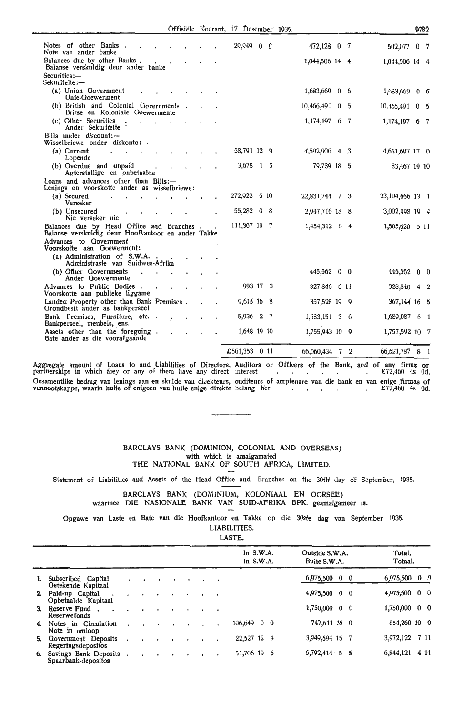|  | Offisiële Koerant, 17 Desember 1935. |  |
|--|--------------------------------------|--|
|  |                                      |  |

|                                                                                                 |  | Offisiële Koerant, 17 Desember 1935. |                | 0782                         |  |
|-------------------------------------------------------------------------------------------------|--|--------------------------------------|----------------|------------------------------|--|
| Notes of other Banks.<br>Note van ander banke                                                   |  | 29,949 0 0                           | 472,128 0 7    | 0 <sub>7</sub><br>502,077    |  |
| Balances due by other Banks.<br>Balanse verskuldig deur ander banke                             |  |                                      | 1,044,506 14 4 | 1,044,506 14 4               |  |
| Securities:-<br>Sekuriteite:-                                                                   |  |                                      |                |                              |  |
| (a) Union Government<br>Unie-Goewerment                                                         |  |                                      | 1,683,669 0 6  | 1,683,669 0 6                |  |
| (b) British and Colonial Governments.<br>Britse en Koloniale Goewermente                        |  |                                      | 10,466,491 0 5 | 10,466,491<br>0 <sub>5</sub> |  |
| (c) Other Securities<br>$\ddot{\phantom{a}}$<br>Ander Sekuriteite                               |  |                                      | 1,174,197 6 7  | 1,174,197 6 7                |  |
| Bills under discount:-<br>Wisselbriewe onder diskonto:-                                         |  |                                      |                |                              |  |
| (a) Current<br>Lopende                                                                          |  | 58,791 12 9                          | 4,592,906 4 3  | 4,651,697 17 0               |  |
| (b) Overdue and unpaid.<br>Agterstallige en onbetaalde                                          |  | 3,678 1 5                            | 79,789 18 5    | 83,467 19 10                 |  |
| Loans and advances other than Bills:-<br>Lenings en voorskotte ander as wisselbriewe:           |  |                                      |                |                              |  |
| (a) Secured<br>Verseker                                                                         |  | 272,922 5 10                         | 22,831,744 7 3 | 23, 104, 666 13 1            |  |
| (b) Unsecured<br>Nie verseker nie                                                               |  | 55,282 0<br>- 8                      | 2,947,716 18 8 | 3,002,998 19 4               |  |
| Balances due by Head Office and Branches.<br>Balanse verskuldig deur Hoofkantoor en ander Takke |  | 111,307 19 7                         | 1,454,312 6 4  | 1,565,620 5 11               |  |
| Advances to Government<br>Voorskotte aan Goewerment:                                            |  |                                      |                |                              |  |
| (a) Administration of S.W.A.<br>Administrasie van Suidwes-Afrika                                |  |                                      |                |                              |  |
| (b) Other Governments<br>Ander Goewermente                                                      |  |                                      | 445,562 0 0    | 445,562 0 0                  |  |
| Advances to Public Bodies.<br>Voorskotte aan publieke liggame                                   |  | 993 17 3                             | 327,846 6 11   | 328,840 4 2                  |  |
| Landed Property other than Bank Premises.<br>Grondbesit ander as bankperseel                    |  | 9,615 16 8                           | 357,528 19 9   | 367,144 16 5                 |  |
| Bank Premises, Furniture, etc<br>Bankperseel, meubels, ens.                                     |  | 5,936 2 7                            | 1,683,151 3 6  | 1,689,087<br>6 1             |  |
| Assets other than the foregoing.<br>Bate ander as die voorafgaande                              |  | 1,648 19 10                          | 1,755,943 10 9 | 1,757,592 10 7               |  |
|                                                                                                 |  | £561,353 0 11                        | 66,060,434 7 2 | 66,621,787 8 1               |  |

Aggregate amount of Loans to and Liabilities of Directors, Auditors or Officers of the Bank, and of any firms or<br>partnerships in which they or any of them have any direct interest Oesamentlike bedrag van lenings aan en skulde van direkteurs, ouditeurs of amptenare van die bank en van enige firmas of vennootskappe, waarin hulle of enigeen van hulle enige direkte belang het  $\cdot$  . . . . . . £72,460 4s Od.

#### BARCLAYS BANK (DOMINION, COLONIAL AND OVERSEAS) with which is amalgamated THE NATIONAL BANK OF SOUTH AFRICA, LIMITED,

Statement of Liabilities and Assets of the Head Office and Branches on the 30th day of September, 1935.

# BARCLAYS BANK (DOMlNIUM, KOLONIAAL EN OORSEE)

waarmee DIE NASlONALE BANK VAN SUID-AFRIKA BPK. geamalgameer is.

Opgawe van Laste en Bate van die Hoofkantoor en Takke op die 30ste dag. van September 1935.

LIABILITIES.

LASTE.

|    |                                              |  |  |  |           | In $S.W.A.$<br>In $S.W.A.$ | Outside S.W.A.<br>Buite S.W.A. | Total.<br>Totaal.  |
|----|----------------------------------------------|--|--|--|-----------|----------------------------|--------------------------------|--------------------|
|    |                                              |  |  |  |           |                            |                                |                    |
|    | Subscribed Capital<br>Getekende Kapitaal     |  |  |  | $\cdot$   |                            | $6,975,500$ 0 0                | 6,975,500 0 0      |
|    | 2. Paid-up Capital<br>Opbetaalde Kapitaal    |  |  |  | $\bullet$ |                            | 4,975,500 0 0                  | 4,975,500 0 0      |
|    | 3. Reserve Fund.<br>Reserwefonds             |  |  |  | $\bullet$ |                            | 1,750,000 0 0                  | 1,750,000 0 0      |
| 4. | Notes in Circulation<br>Note in omloop       |  |  |  |           | $106,649$ 0 0              | 747,611 10 0                   | 854,260 10 0       |
| 5. | Government Deposits<br>Regeringsdepositos    |  |  |  | ٠         | 22,527 12 4                | 3,949,594 15                   | 7 11<br>3,972,122  |
| б. | Savings Bank Deposits<br>Spaarbank-depositos |  |  |  |           | 51,706 19 6                | 6,792,414 5 5                  | 6,844,121<br>4 1 1 |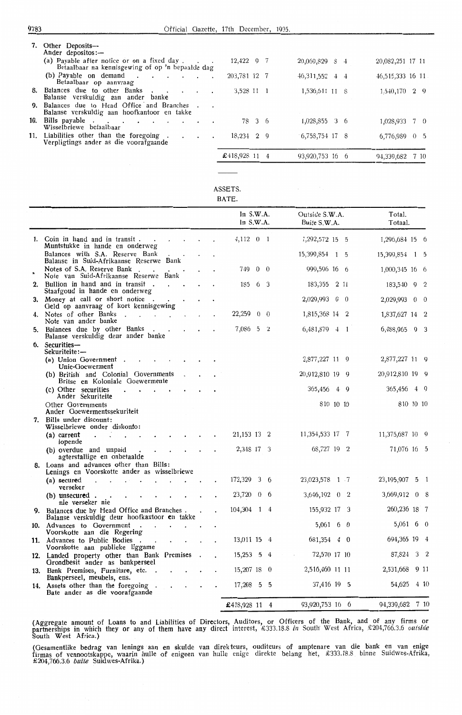| 7.  | Other Deposits-<br>Ander depositos:-                                                            |               |                  |                    |
|-----|-------------------------------------------------------------------------------------------------|---------------|------------------|--------------------|
|     | (a) Payable after notice or on a fixed day.<br>Betaalbaar na kennisgewing of op 'n bepaalde dag | $12,422$ 9 7  | 20,069,829 8 4   | 20,082,251 17 11   |
|     | (b) Payable on demand $\cdot$ $\cdot$ $\cdot$ $\cdot$ $\cdot$ $\cdot$<br>Betaalbaar op aanvraag | 203,781 12 7  | 46, 311, 552 4 4 | 46,515,333 16 11   |
| 8.  | Balances due to other Banks<br>$\cdot$<br>$\cdot$<br>Balanse verskuldig aan ander banke         | 3,528 11 1    | 1,536,641 11 8   | 1,540,170 2 9      |
| 9.  | Balances due to Head Office and Branches<br>Balanse verskuldig aan hoofkantoor en takke         |               |                  |                    |
| 10. | Bills payable<br>Wisselbriewe betaalbaar                                                        | 78 3 6        | 1,028,855 3 6    | 1,028,933 7 0      |
|     | 11. Liabilities other than the foregoing.<br>$\cdot$<br>Verpligtings ander as die voorafgaande  | $18,234$ 2 9  | $6,758,754$ 17 8 | 6,776,989 0 5      |
|     |                                                                                                 | £418,928 11 4 | 93,920,753 16 6  | 94,339,682<br>7 10 |

## BATE.

|                                                                                              |  | In $S.W.A$ .<br>ln S.W.A. |            |                | Outside S.W.A.<br>Buite S.W.A. |                | Total.<br>Totaal. |             |
|----------------------------------------------------------------------------------------------|--|---------------------------|------------|----------------|--------------------------------|----------------|-------------------|-------------|
| 1. Coin in hand and in transit.<br>Muntstukke in hande en ond <b>e</b> rweg                  |  | 4,112 0 1                 |            |                | 1,292,572 15 5                 |                | 1,296,684 15 6    |             |
| Balances with S.A. Reserve Bank<br>Balanse in Suid-Afrikaanse Reserwe Bank                   |  |                           |            |                | 15,399,854 1 5                 |                | 15,399,854 1 5    |             |
| Notes of S.A. Reserve Bank.<br>Note van Suid-Afrikaanse Reserwe Bank                         |  | 749                       | $0\quad 0$ |                | 999,596 16 6                   |                | 1,000,345 16 6    |             |
| 2. Bullion in hand and in transit.<br>Staafgoud in hande en onderweg                         |  | 185                       | 6 3        |                | 183, 355 2 11                  |                | 183,540 9 2       |             |
| 3. Money at call or short notice.<br>Geld op aanvraag of kort kennisgewing                   |  |                           |            |                | 2,029,993 0 0                  |                | 2,029,993 0 0     |             |
| 4. Notes of other Banks<br>$\sim$<br>Note van ander banke                                    |  | 22,259                    | $\bf{0}$   | $\overline{0}$ | 1,815,368 14 2                 |                | 1,837,627 14 2    |             |
| 5. Balances due by other Banks<br>Balanse verskuldig deur ander banke                        |  | 7,086 5                   |            | $\overline{2}$ | 6,481,879 4 1                  |                | $6,488,965$ 9 3   |             |
| 6. Securities-<br>Sekuriteite:-                                                              |  |                           |            |                |                                |                |                   |             |
| (a) Union Government.<br>Unie-Goewerment                                                     |  |                           |            |                | 2,877,227 11 9                 |                | 2,877,227 11 9    |             |
| (b) British and Colonial Governments<br>Britse en Koloniale Goewermente                      |  |                           |            |                | 20,912,810 19 9                |                | 20,912,810 19 9   |             |
| (c) Other securities<br>Ander Sekuriteite                                                    |  |                           |            |                | 365,456 4 9                    |                | 365,456 4 9       |             |
| Other Governments<br>Ander Goewermentssekuriteit                                             |  |                           |            |                | 810 10 10                      |                | 810 10 10         |             |
| 7. Bills under discount:<br>Wisselbriewe onder diskonto:                                     |  |                           |            |                |                                |                |                   |             |
| (a) current<br>lopende                                                                       |  | 21, 153 13 2              |            |                | 11, 354, 533 17 7              |                | 11,375,687 10 9   |             |
| (b) overdue and unpaid<br>agterstallige en onbetaalde                                        |  | 2,348 17 3                |            |                | 68,727 19 2                    |                | 71,076 16 5       |             |
| 8. Loans and advances other than Bills:<br>Lenings en Voorskotte ander as wisselbriewe       |  |                           |            |                |                                |                |                   |             |
| (a) secured<br>$\overline{a}$<br>verseker                                                    |  | 172,329                   | 3 6        |                | 23,023,578 1 7                 |                | 23,195,907        | $5 \quad 1$ |
| $(b)$ unsecured.<br>nie verseker nie                                                         |  | 23,720 0 6                |            |                | 3,646,192 0                    | $\overline{2}$ | 3,669,912 0 8     |             |
| 9. Balances due by Head Office and Branches.<br>Balanse verskuldig deur hoofkantoor en takke |  | 104,304 1 4               |            |                | 155,932 17 3                   |                | 260,236 18 7      |             |
| 10. Advances to Government<br>Voorskotte aan die Regering                                    |  |                           |            |                | $5,061$ 6 0                    |                | $5,061$ 6 0       |             |
| 11. Advances to Public Bodies<br>Voorskotte aan publieke liggame                             |  | 13,011 15 4               |            |                | 681,354 4 0                    |                | 694,365 19 4      |             |
| 12. Landed property other than Bank Premises<br>Grondbesit ander as bankperseel              |  | 15,253 5 4                |            |                | 72,570 17 10                   |                | 87,824            | 3 2         |
| 13. Bank Premises, Furniture, etc.<br>Bankperseel, meubels, ens.                             |  | 15,207 18 0               |            |                | 2,516,460 11 11                |                | 2,531,668         | 9 11        |
| 14. Assets other than the foregoing<br>Bate ander as die voorafgaande                        |  | $17,208$ 5 5              |            |                | 37,416 19 5                    |                | 54,625 4 10       |             |
|                                                                                              |  | £418,928 11 4             |            |                | 93,920,753 16 6                |                | 94,339,682 7 10   |             |

(Aggregate amount of Loans to and Liabilities of Directors, Auditors, or Officers of the Bank, and of any firms or<br>partnerships in which they or any of them have any direct interest, £333.18.8 *in* South West Africa, £204, South West Africa.)

(Oesamentlike bedrag van lenings aan en skulde van direk teurs, ouditeurs of amptenare van die bank en van enige firmas of vennootskappe, waarin hulle of enigeen van hulle enige direkte belang het, £333.18.8 binne Suidwes-Afrika, £204,766.3.6 *buite* Suidwes-Afrika.)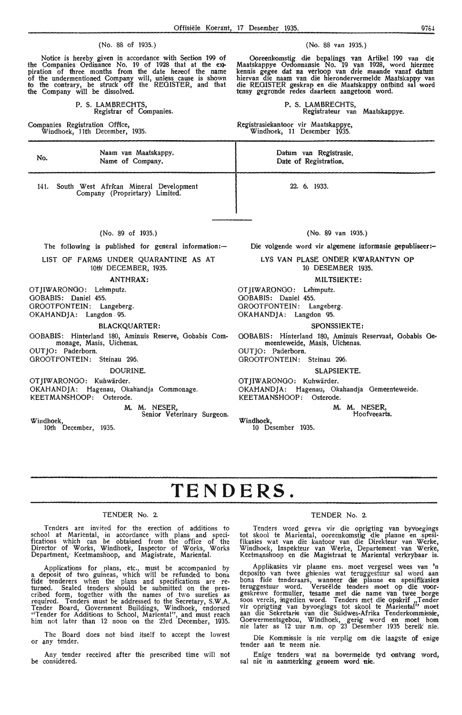#### (No. 88 of 1935.) (No. 88 van 1935.)

Notice is hereby given in accordance with Section 199 of the Companies Ordinance No. 19 of 1928 that at the exipiration of three months from the date hereof the name of the undermentioned Company will, unless cause is shown to the contrary, be struck off the REGISTER, and that the Company will be dissolved.

P. S. LAMBRECHTS, Registrar of Companies.

Companies Registration Office, Windhoek, 11th December, 1935.

Ooreenkomstig die bepalings van Artikel 199 van die Maatskappye Ordonnansie No. 19 van 1928, word hiermee kennis gegee dat na verloop van drie maande vanaf datum hiervan die naam van die hierondervermelde Maatskappy van<br>die REGISTER geskrap en die Maatskappy ontbind sal word tensy gegronde redes daarteen aangetoon word.

> P. S. LAMBRECHTS, Registrateur van Maatskappye.

Registrasiekantoor vir Maatskappye, Windhoek, 11 Desember 1935.

No. Naam van Maatskappy. Name of Company. 141. South West African Mineral Development Company (Proprietary) Limited. (No. 89 of 1935.) The following is published for general information: $-$ LIST OF FARM6 UNDER QUARANTINE AS AT 10th' DECEMBER, 1935. **ANTHRAX:**  OTJIWARONOO: Lehmputz. GOBABIS: Daniel 455. OROOTFONTEIN: Langeberg. OKAHANDJA: Langdon . 95. **BLACKQUARTER:**  OOBABIS: Hinterland 180, Aminuis Reserve, Oobabis Commonage, Masis, Uichenas. OUT JO: Paderborn. GROOTFONTEIN: Steinau 296. DOURINE. OT JIWARONGO: Kuhwärder. OKAHANDJA: Hagenau, Okahandja Commonage. KEETMANSHOOP: Osterode. **M. M.** NESER, Windhoek, Senior Veterinary Surgeon. 10th December, 1935. Datum van Registrasie. Date of Registration. 22. 6. 1933. (No. 89 van 1935.) Die volgende word vir algemene informasie gepubliseer:-LYS VAN PLASE ONDER KWARANTYN OP 10 DESEMBER 1935. **MILTSIEKTE:**  OTJIWARONOO: Le'hmputz. OOBABIS: Daniel 455. OROOTFONTEIN: Langeberg. OKAHANDJA: Langdon 95. **SPONSSIEKTE:**  OOBABIS: Hfnterland 180, Aminuis Reservaat, Oobabis Ge• meenteweide, Masis, Uichenas. OUTJO: Paderborn. OROOTFONTEIN: Steinau 296. SLAPSIEKTE. OTJIWARONGO: Kuhwärder. OKAHANDJA: Hagenau, Okahandja Gemeenteweide. KEETMANSHOOP: Osterode. **Windhoek,**  10 Desember 1935. · **M. M. NESER,**  Hoofveearts.

# **TENDERS.**

### TENDER No. 2.

Tenders are invited for the erection of additions to school at Mariental, in accordance with plans and specifications which can be obtained from the office of the Director of Works, Windhoek, Inspector of Works, Works Department, Keetmanshoop, and Magistrate, Mariental. ·

Applications for plans, etc., must be accompanied by a deposit of two guineas, which will be refunded to bona fide tenderers when the plans and specifications are re- turned. Sealed tenders· should be submitted on the prescribed form, together with the names of two sureties as required. Tenders must be addressed to the Secretary, S.W.A. Tender Board, Government Buildings, Windhoek, endorsed "Tender for Additions to School, Mariental", and must reach him not later than 12 noon on the 23rd December, 1935.

The Board does not bind itself to accept the lowest or any tender.

Any tender received after the prescribed time will not be considered.

#### TENDER No. 2.

Tenders word gevra vir die oprigting van byvoegings<br>tot skool te Mariental, ooreenkomstig die planne en spesifikasies wat van die kantoor van die Direkteur van .W,erke, Windhoek, lnspekteur van Werke, Departement · van Werke, Keetmanshoop en die Magistraat te Mariental verkrybaar is.

Applikasies vir planne ens. moet vergesel wees van 'n deposito van twee ghiienies wat teruggestuur sal word aan<br>bona fide tenderaars, wanneer die planne en spesifikasies teruggestuur word. Verseëlde tenders moet op die voor-<br>geskrewe formulier, tesame met die name van twee borge<br>soos vereis, ingedien word. Tenders met die opskrif ,,Tender vir oprigting van byvoegings tot skool te Mariental<sup>i,</sup> moet<br>aan die Sekretaris van die Suidwes-Afrika Tenderkommissie, Goewermentsgebou, Windhoek, gerig word en moet hom nie later as 12 uur n.m. op 23 Desember 1935 bereik' nie.

Die Kommissie is nie verplig om die laagste of enige tender aan te neem nie.

Enige tenders wat na bovermelde tyd ontvang word, sal nie in aanmerking geneem word **nie.**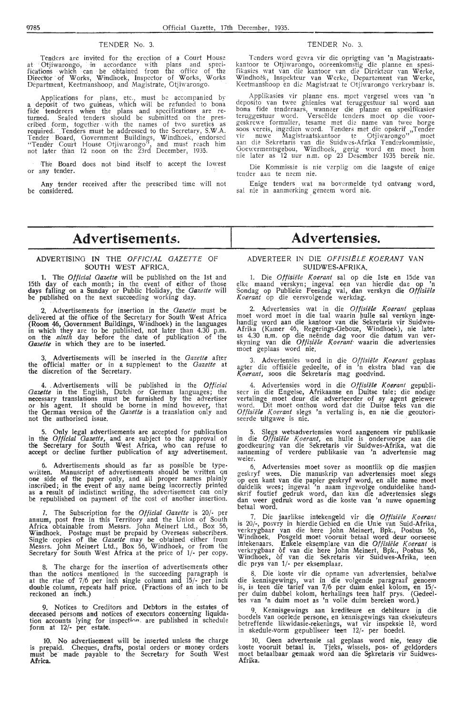#### TENDER No. 3. TENDER No. 3.

Tenders are invited for the erection of a Court House<br>at Ofjiwarongo, · in accordance with plans and speci-<br>fications which can be obtained from the office of the Director of Works, Windhoek, Inspector of Works, Works Department, Keetmanshoop, and Magistrate, Otjiwarongo.

Applications for plans, etc., must be accompanied by a deposit of two guineas, which will be refunded to bona fide tenderers when the plans and specifications are re-<br>turned. Sealed tenders should be submitted on the prescribed form, together with the names of two sureties as required. Tenders must be addressed to the Secretary, S.W.A. Tender Board, Government Buildings, Windhoek, endorsed "Tender Court House Otjiwarongo", and must reach him not later than 12 noon on the 23rd December, 1935.

The Board does not bind itself to accept the lowest or any tender.

Any tender received after the prescribed time will not be considered.

Tenders word gevra vir die oprigting van 'n Magistraats- kantoor te Otj iwarongo, ooreenkomstig die planne en spesifikasies wat van die kantoor van die Direkfeur van Werke,<br>Windhoek, Inspekteur van Werke, Departement van Werke,<br>Keetmanshoop en die Magistraat te Otjiwarongo verkrybaar is.

Applikasies vir planne ens. *m9et* vergesel wees van 'n deposito van twee ghienies wat teruggestuur sal word aan<br>bona fide tenderaars, wanneer die planne en spesifikasies teruggestuur word. Verseëlde tenders moet op die voor-<br>geskrewe formulier, tesame met die name van twee borge<br>soos vereis, ingedien word. Tenders met die opskrif ,,Tender vir nuwe Magistraatskantoor te Otjiwarongo'' moet<br>aan die Sekretaris van die Suidwes-Afrika Tenderkommissie,<br>Goewermentsgebou, Windhoek, gerig word en moet hom nie later as 12 uur n.m. op 23 Desember 1935 bereik nie.

Die Kommissie is nie verplig om die laagste of enige tender aan te neem nie.

Enige tenders wat na bovermelde tyd ontvang word, sal nie in aanmerking geneem word nie.

# **Advertisements.**

#### **ADVERTISING IN** THE OFFICIAL GAZETTE OF SOUTH WEST AFRICA.

**1.** The *Official Gazette* will be published on the 1st and 15th day of each month; in the event of either of those days falling on a Sunday or Public Holiday, the *Gazette* will be published on the next succeeding working day.

2. Advertisements for insertion in the *Gazette* must be delivered at the office of the Secretary for South West Africa (Room 46, Government Buildings, Windhoek) in the languages in which they are to be published, not later than 4.30 p.m. on the *ninth* day before the date of publication of the *Gazette* in which they are to be inserted.

3. Advertisements will be inserted in the *Gazette* after the official matter or .\_ in a supplement to the *Gazette* at the discretion of the Secretary.

4. , Advertisements . will be published in the *Official*  Gazette in the English, Dutch or German languages; the necessary translations must be furnished by the advertiser or his agent. .It should be borne in mind however, that the German version of the *Gazette* is a translation only and not the authorised issue.

5. Only legal advertisements are accepted for publication in the *Official Gazette,* and are subject to the approval of the Secretary for South West Africa, who can refuse to accept or decline further publication of any advertisement.

Advertisements should as far as possible be typewritten. Manuscript of advertisements should be written on<br>one side of the paper only, and all proper names plainly inscribed; in the event of any name being incorrectly printed as a result of indistinct writing, the advertisement can only be republished on payment of the cost of another insertion.

*7.* The Subscription for the *Official Gazette* is 20/- per annum, post free in this Territory and the Union of South Africa obtainable from Messrs. John Meinert Ltd., Box 56, Windhoek. Postage must be prepaid by Overseas subscribers. Single copies of the *Gazette* may be obtained either from Messrs. John Meinert Ltd., Box 56, Windhoek, or from the Secretary for South West Africa at the price of 1/- per copy.

The charge for the insertion of advertisements other than the notices mentioned in the sucoeeding paragraph is at the rtae of  $7/6$  per inch single column and  $15/-$  per inch double column, repeats half price. (Fractions of an inch to be reckoned an inch,)

9. Notices to Creditors and Debtors in the estates of deceased persons and notices of executors concerning liquidation accounts lying for inspection, are published in schedule form at 12/· per estate.

10. No advertisement will be inserted unless the charge is prepaid. Cheques, drafts, postal orders or money orders must be made payable to the Secretary for South West **Africa.** 

# **Advertensies.**

#### ADVERTEER IN DlE Off1S!ELE KOERANT **VAN**  SUIDWES-AFRIKA.

1. Die *Offisii!le l(oerant* saI op die lste en 15de van elke maand verskyn; ingeval een van hierdie dae op 'n Sondag op Publieke Feesdag val, dan verskyn die Offisiële Koerant op die eersvolgende werkdag.

2. Advertensies wat in die Offisiële Koerant geplaas moet word moet in die taal waarin pulle sal verskyn ingehandig word aan die kantoor van die Sekretaris vir Suidwes-Afrika (Kamer 46, Regerings-Geboue, Windhoek), nie later as 4.30 n.m. op die neende dag voor die datum van ver- skyning van die *Otfisii!le Koerant·* waarin die advertensies moet geplaas word nie,

3. Advertensies word in die Offisiële Koerant geplaas agter die offisiele gededte, of in 'n ekstra blad van die *Koerant,* soos die Sekretaris mag goedvind.

4. Advertensies word in die *Otfisii!le Koerant* gepubli- seer in die Engelse, Afrikaanse en Duitse tale; die nodige vertalinge moet deur die adverteerder of sy agent gelewer word. Dit moet onthou word dat die Duitse teks van die Offisiële Koerant slegs 'n vertaling is, en nie die geoutoriseerde uitgawe is nie.

5. Slegs wetsadvertensies word aangeneem vir publikasie in die *Offisiële Koerant*, en hulle is onderworpe aan die goedkeuring van die Sekretaris vir Suidwes-Afrika, wat die aanneming of verdere publikasie van 'n advertensie mag weier.

6. Advertensies moet sover as moontlik op die masjien geskryf wees. Die manuskrip van advertensies moet slegs op een kant van die papier geskryf word, en alle name moet duidelik wees; ingeval 'n naam ingevolge onduidelike handskrif foutief gedruk word, dan kan die advertensies slegs dan weer gedruk word as die koste van 'n nuwe opneming betaal word.

7. Die jaarlikse intekengeld vir die Offisiële Koerant is 20/-, posvry in hierdie Gebied en die Unie van Suid-Afrika, verkrygbaar van die here John Meinert, Bpk., Posbus 56, Windhoek. Posgeld moet vooruit betaal word deur oorseese<br>intekenaars. Enkele eksemplare van die Offisiële Koerant is verkrygbaar of van die here John Meinert, Bpk., Posbus 56, Windhoek, of van die Sekretaris vir Suidwes-Afrika, teen die prys van 1/- per eksemplaar.

8. Die koste vir die opname van advertensies, behalwe die kennisgewings, wat in die volgende paragraaf genoem is, is teen die tarief van 7/6 per duim enkel kolom, en 15/-<br>per duim dubbel kolom, herhalings teen half prys. (Gedeeltes van 'n duim moet as 'n volle duim bereken word.)

Kennisgewings aan krediteure en debiteure in die boedels van oorlede persone, en kennisgewings van eksekuteurs betreffende likwidasie-rekenings, wat vir inspeksie le, word in skedule-vorm gepubliseer teen 12/- per boedel.

10. Geen advertensie sal geplaas word **nie,** tensy **die**  koste vooruit betaal is. Tjeks, wissels, pos- of geldorders moet betaalbaar gemaak word aan die Sekretaris vir Suidwes-<br>Afrika.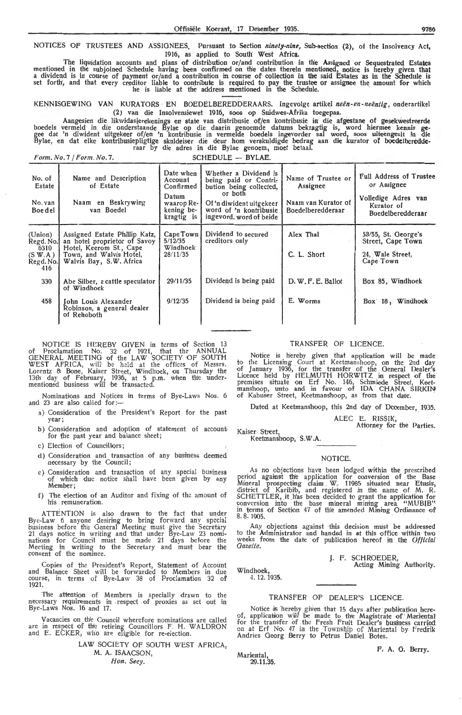NOTICES OF TRUSTEES ANO ASSIGNEES. Pursuant to Section *nuiety-nine,* Sub-section (2), of the Insolvency Act, 1916, as applied to South West **Africa.** 

The liquidation accounts and plans of distribution or/and contribution in the Assigned or Sequestrated Estates mentioned in the subjoined Schedule having been confirmed on the dates therein mentioned, notice is hereby given that<br>a dividend is in course of payment or/and a contribution in course of collection in the said Estates as set forth, and that every creditor liable to contribute is required to pay the trustee or assignee the amount for which he is liable at the address mentioned in the Schedule.

KENNISGEWING VAN KURATORS EN BOEDELBEREDDERAARS. Ingevolge artikel *neën-en-neëntig*, onderartikel (2J van die Insolvensiewet 1916, soos op Suidwes-Afrika toegepas.

Aangesien die likwidasierekenings en state van distribusie of/en kontribusie in die afgestane . of gesekwestreerde boedels vermeld in die onderstaande Bylae op die. daarin genoemde datums bekragtig is, word hiermee kennis gegee dat 'n diwident uitgekeer of/en 'n kontribusie in vermelde boedels ingevorder sal word, soos uiteengesit in die Bylae, en dat elke kontribusiepligtige skuldeiser die deur hom verskuldigde bedrag aan die kurator of boedelberedde-<br>raar by die adres in die Bylae genoem, moet betaal.

*Form. No.* 7 */Form.No.* 7. SCHEDULE - **BYLAE.** 

| No. of<br>Estate<br>No. van<br>Boe del                      | Name and Description<br>of Estate<br>Naam en Beskrywing<br>van Boedel                                                                          | Date when<br>Account<br>Confirmed<br>Datum<br>waarop Re-<br>kening be-<br>kragtig is | Whether a Dividend is<br>being paid or Contri-<br>bution being collected,<br>or both<br>Of 'n diwident uitgekeer<br>word of 'n kontribusie<br>ingevord, word of beide | Name of Trustee or<br>Assignee<br>Naam van Kurator of<br><b>Boedelberedderaar</b> | <b>Full Address of Trustee</b><br>or Assignee<br>Volledige Adres van<br>Kurator of<br>Boedelberedderaar |
|-------------------------------------------------------------|------------------------------------------------------------------------------------------------------------------------------------------------|--------------------------------------------------------------------------------------|-----------------------------------------------------------------------------------------------------------------------------------------------------------------------|-----------------------------------------------------------------------------------|---------------------------------------------------------------------------------------------------------|
| (Union)<br>Regd. No.<br>6310<br>(S W.A)<br>Regd. No.<br>416 | Assigned Estate Phillip Katz,<br>an hotel proprietor of Savoy<br>Hotel, Keerom St., Cape<br>Town, and Walvis Hotel,<br>Walvis Bay, S.W. Africa | Cape Town<br>5/12/35<br>Windhoek<br>28/11/35                                         | Dividend to secured<br>creditors only                                                                                                                                 | Alex Thal<br>C. L. Short                                                          | 53/55, St. George's<br>Street, Cape Town<br>24, Wale Street,<br>Cape Town                               |
| 330                                                         | Abe Silber, a cattle speculator<br>of Windhoek                                                                                                 | 29/11/35                                                                             | Dividend is being paid                                                                                                                                                | D. W. F. E. Ballot                                                                | Box 85, Windhoek                                                                                        |
| 458                                                         | Iohn Louis Alexander<br>Robinson, a general dealer<br>of Rehoboth                                                                              | 9/12/35                                                                              | Dividend is being paid                                                                                                                                                | E. Worms                                                                          | Box 18, Windhoek                                                                                        |

NOTICE IS HEREBY GIVEN in terms of Section 13<br>of Proclamation No. 32 of 1921, that the ANNUAL GENERAL MEETING of the LAW SOCIETY OF SOUTH WEST AFRICA, will be held at the offices of Messrs. Lorentz & Bone, Kaiser Street, Windhoek, on Thursday the 13th day of February, 1936, at 5 p.m. when the under-<br>mentioned business will be transacted.

Nominations and Notices in terms of Bye-Laws Nos. 6 and 23 are also called for:-

- a) Consideration of the President's Report for the past y-ear;
- b) Consideration and adoption of statement of account for the past year and balance sheet;

c) Election of CounciHors;

- d) Consideration and transaction of any business deemed necessary by the Council;
- e) Consideration and transaction of any special business of which due notice shall have been given by any Member;
- f) The election of an Auditor and fixing of the amount of 'his remuneration.

ATTENTION is also drawn to the fact that under Bye-Law 6 anyone desiring to bring forward any special business before the General Meeting must give the Secretary 21 days notice in writing and that under Bye-Law 23 nominations for Council must be made 21 days before the Meeting in writing to the Secretary and must bear the consent of the nominee.

Copies of the President's Report, Statement of Account and Balance Sheet will be forwarded to Members in due course, in terms of Bye-Law 38 of Proclamation 32 of 1921.

The attention of Members is specially drawn to the necessary requirements in respect of proxies as set out in Bye-Laws Nos. 16 and 17.

Vacancies on the Council wherefore nominations are called are in respect of the retiring Councillors F. H. WALDRON and E. ECKER, who are eligible for re-election.

> LAW SOCIETY OF SOUTH WEST AFRICA, M. A. ISAACSON,<br>Hon. Secv.

#### TRANSFER OF LICENCE.

Notice is hereby given that application will be made to the Licensing Court at Keetmanshoop, on the 2nd day of January 1936, for the transfer of the General Dealer's Licence held by HELMUTH HORWITZ in respect of the premises situate on Erf No. 146, Schmiede Street, Keet manshoop, unto and in favour of IDA CHANA SIRKIN of Kabuser Street, Keetmanshoop, as from that date.

Dated at Keetmanshoop, this 2nd day of December, 1935.

ALEC E. RISSIK,

Attorney for the Parties.

Kaiser Street, Keetmanshoop, S.W.A.

#### NOTICE.

As no objections have been lodged within the prescribed period against the application for conversion of the Base Mineral prospecting claim W. 11985 situated near Etusis, district of Karibib, and registered in the name of M. R. SCHETTLER, it has been decided to grant the application for conversion into the base mineral mining area. "MUBIB"-<br>in terms of Section 47 of the amended Mining Ordinance of<br>8.8.1905.

Any objections against this decision must be addressed to the Administrator and handed in at this office within two weeks from the date of publication hereof in the *Official Gazette.* 

J. F. SCHROEDER,

Acting Mining Authority.

Windhoek, 4. 12. 1935.

#### TRANSFER OF DEALER'S LICENCE.

Notice is hereby given that 15 days after publication here-<br>of, application will be made to the Magistrate of Mariental for the transfer of the Fresh Fruit Dealer's business carried on at Erf No. 47 in the Township of Mariental by Fredrik<br>Andries Georg Berry to Petrus Daniel Botes.

*Mariental*,<br>29.11.35.

F. A. 0. Berry.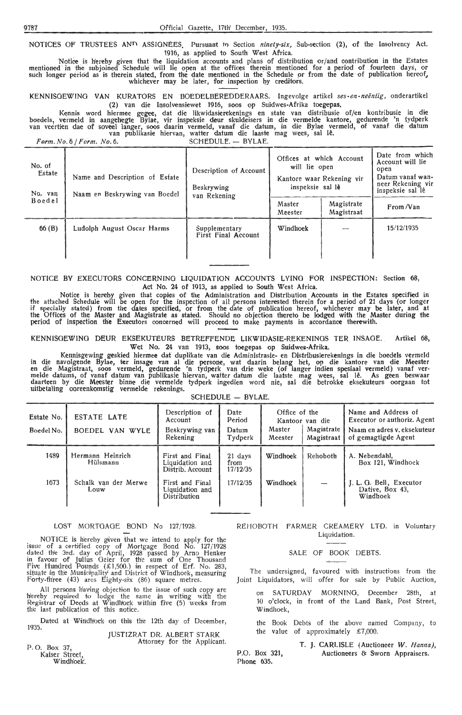NOTICES OF TRUSTEES AND ASSIGNEES. Pursuant to Section *ninety-six*, Sub-section (2), of the Insolvency Act. 1916, as applied to South West Africa.

Notice is hereby given that the liquidation accounts and plans of distribution or/and contribution in the Estates mentioned in the subjoined Schedule will lie open at the offices therein mentioned for a period of fourteen days, or<br>such longer period as is therein stated, from the date mentioned in the Schedule or from the date of publ

KENNISGEWING VAN KURATORS EN BOEDELBEREDDERAARS. Ingevolge artikel ses-en-neëntig, onderartikel (2) van die Insolvensiewet 1916, soos op Suidwes-Afrika toegepas.

Kennis word hiermee gegee, dat die likwidasierekenings en state van distribusie of/en kontribusie in die boedels, vermeld in aangehegte Bylae, vir inspeksie deur skuldeisers in die vermelde kantore, gedurende 'n tydperk<br>van veertien dae of soveel langer, soos daarin vermeld, vanaf die datum, in die Bylae vermeld, of vanaf die

*Form. No. 6 / Form. No. 6.* SCHEDULE. - BYLAE.

| No. of<br>Estate<br>No. van<br>Boedel | Name and Description of Estate<br>Naam en Beskrywing van Boedel | Description of Account<br>Beskrywing<br>van Rekening | Offices at which Account<br>will lie open<br>Kantore waar Rekening vir<br>inspeksie sal lê | Date from which<br>Account will lie<br>open<br>Datum vanaf wan-<br>neer Rekening vir<br>inspeksie sal lê |            |
|---------------------------------------|-----------------------------------------------------------------|------------------------------------------------------|--------------------------------------------------------------------------------------------|----------------------------------------------------------------------------------------------------------|------------|
|                                       |                                                                 |                                                      | Master<br>Meester                                                                          | Magistrate<br>Magistraat                                                                                 | From /Van  |
| 66(B)                                 | Ludolph August Oscar Harms                                      | Supplementary<br>First Final Account                 | Windhoek                                                                                   |                                                                                                          | 15/12/1935 |

### NOTICE BY EXECUTORS CONCERNING LIQUIDATION ACCOUNTS LYING FOR INSPECTION: Section 68, Act No. 24 of 1913, as applied to South West Africa.

Notice is hereby given that copies of the Administration and Distribution Accounts in the Estates specified in the attached Schedule will be open for the inspection of all persons interested therein for a period of 21 days (or longer if specially stated) from the dates specified, or from the date of publication hereof, whichever may be later, and at the Offices of the Master and Magistrate as stated. Should no objection thereto be lodged with the Master during the period of inspection the Executors concerned will proceed to make payments in accordance therewith.

KENNISGEWING DEUR EKSEKUTEURS BETREFFENDE LIKWIDASIE-REKENINGS TER INSAGE. Artikel 68, Wet No. 24 van 1913, soos toegepas op Suidwes-Afrika.

Kennisgewing geskied hiermee dat duplikate van die Administrasie- en Distribusierekenings in die boedels vermeld in die navolgende Bylae, ter insage van al die persone, wat daarin belang het, op die kantore van die Meester<br>en die Magistraat, soos vermeld, gedurende 'n tydperk van drie weke (of langer indien spesiaal vermeld) vanaf<br>me daarteen by die Meester binne die vermelde tydperk ingedien word nie, sal die betrokke eksekuteurs oorgaan tot uitbetaling ooreenkomstig vermelde rekenings. SCHEDULE - BYLAE.

| $SUTEDULE \rightarrow DTLAL.$ |  |  |
|-------------------------------|--|--|
|                               |  |  |

| Estate No.<br>Boedel No. | <b>ESTATE LATE</b><br>BOEDEL VAN WYLE | Description of<br>Account<br>Beskrywing van<br>Rekening   | Date<br>Period<br>Datum<br>Tydperk | Office of the<br>Master<br>Meester | Kantoor van die<br>Magistrate<br>Magistraat | Name and Address of<br>Executor or authoriz. Agent<br>Naam en adres v. eksekuteur<br>of gemagtigde Agent |
|--------------------------|---------------------------------------|-----------------------------------------------------------|------------------------------------|------------------------------------|---------------------------------------------|----------------------------------------------------------------------------------------------------------|
| 1489                     | Hermann Heinrich<br>Hülsmann          | First and Final<br>Liquidation and<br>Distrib. Account    | 21 days<br>from<br>17/12/35        | Windhoek                           | Rehoboth                                    | A. Nebendahl,<br>Box 121, Windhoek                                                                       |
| 1673                     | Schalk van der Merwe<br>Louw          | First and Final<br>Liquidation and<br><b>Distribution</b> | 17/12/35                           | Windhoek                           | $\overline{\phantom{a}}$                    | J. L. G. Bell, Executor<br>Dative, Box 43,<br>Windhoek                                                   |

#### LOST MORTGAGE BOND No 127/1928.

NOTICE is hereby given that we intend to apply for the issue of a certified copy of Mortgage Bond No. 127/1928 dated the 3rd. day of April, 1928 passed by Arno Henker in favour of Julius Geier for the sum of One Thousand<br>Five Hundred Pounds (£1,500.) in respect of Erf. No. 283, situate in the Municipality and District of Windhoek, measuring Forty-three (43) ares Eighty-six (86) square metres.

All persons 'having objection to the issue of such copy are hiereby required to lodge the same in writing with the Registrar of Deeds at Windhoek within five (5) weeks from the last publication of this notice.

Dated at Windhoek on this the 12th day of December, 1935.

JUSTIZRAT DR. ALBERT STARK Attorney for the Applicant.

P. 0. Box 37, Kaiser Street, Windhoek'.

#### REHOBOTH FARMER CREAMERY LTD. in Voluntary Liquidation.

SALE Of BOOK DEBTS.

The undersigned, favoured with instructions from the Joint Liquidators, will offer for sale by Public Auction,

- on SATURDAY MORNING, December 28th, at 10 o'clock, in front of the Land Bank, Post Street, Windhoek,
- the Book Debts of the above named Company, to the value of approximately  $£7,000$ .

P.O. Box 321, Phone 635. **T. J.** CARLISLE (Auctioneer *W . Haruta),*  Auctioneers 8t Sworn Appraisers.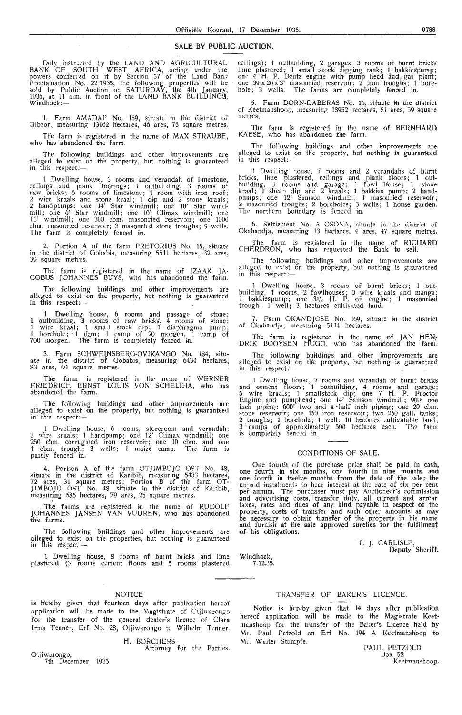### **SALE BY PUBLIC AUCTION.**

Duly instructed by the LAND AND AGRICULTURAL BANK OF SOUTH WEST AFRICA, acting under the powers conferred on it by Section 57 of the Land Bank Proclamation No. 22, 1935, the following properties will be sold by Public Auction on SATURDAY, the 4th January,<br>1936, at 11 a.m. in front of the LAND BANK BUILDING9, Windhoek:-

1. Farm AMADAP No. 159, situate in the district of Gibeon, measuring 13462 hectares, 46 ares, 75 square metres.

The farm is registered in the name of MAX STRAUBE, who has abandoned the farm.

The following buildings and other improvements are alleged to exist on the property, but nothing is guaranteed in this respect:-

1 Dwelling house, 3 rooms and verandah of limestone, ceilings and plank floorings; 1 outbuilding, 3 rooms of raw bricks; 6 rooms of limestone; 1 mom with iron roof; 2 wire kraals and stone kraal; 1 dip and 2 stone kraals; 2 hand pumps; one 14' Star windmill; one 10' Star windmill; one 6' Star wi•ndmill; one 10' Climax windmill; one 11' windmill; one 300 chm. masonried reservoir; one 1000 cbm. masonried reservoir; 3 masonried stone troughs; 9 wells. The farm is completely feneed in.

2. Portion A of the farm PRETORIUS No. 15, situate in the district of Gobabis, measuring 5511 hectares, 32 ares, 39 square metres.

The farm is registered in the name of IZAAK JA-COBUS JOHANNES BUYS, who has abandoned the farm.

The following buildings and other improvements are alleged to exist on the property, but nothing is guaranteed in this respect: $-$ 

1 Dwelling house, 6 moms and passage of stone; 1 outbuilding, 3 rooms of raw bricks, 4 rooms of stone; 1 wire kraal; 1 small stock dip; 1 diaphragma pump;<br>1 borehole; 1 dam; 1 camp of 20 morgen, 1 camp of 700 morgen. The farm is completely fenced in.

3. Farm SCHWEtNSBERG-OVIKANOO No. 184, situate in the district of Gobabis, measuring 6434 hectares, 83 ares, 91 square metres.

The farm is registered in the name of WERNER FRIEDRICH ERNST LOUIS VON SCHELIHA, who has abandoned the farm.

The following buildings and other improvements are alleged to exist on th'e property, but nothing is guaranteed in this respect:--

1 Dwelling house, 6 rooms, storeroom and verandah; 3 wire kraals; 1 handpump; one 12' Climax windmill; one<br>250 cbm. corrugated iron reservoir; one 10 cbm. and one<br>4 cbm. trough; 3 wells; 1 maize camp. The farm is partly fenced in.

4. Portion A of th'e farm OTJIMBOJO OST No. 48, situate in the district of Karibih, measuring 5433 hectares., 72 ares, 31 square metres; Portion B of the farm OT-JIMBOJO OST No. 48, situate in the district of Karibib, measuring 585 hectares, 79 ares, 25 square metres.

The farms are registered in the name of RUDOLF JOHANNES JANSEN VAN VUUREN, who has abandoned the farms.

The following buildings and other improvements are alleged to exist on the properties, but nothing is guaranteed in this respect:-

1 Dwelling h'ouse, 8 rooms of burnt bricks and lime plastered (3 rooms cement floors and 5 rooms plastered

#### NOTICE

is hereby given that fourteen days after publication hereof application will be made to the Magistrate of otjiwarongo for the transfer of the general dealer's licence of Clara Irma Tenner, Erf No. 28, Otjiwarongo to Wilhelm Tenner.

H. BORCHERS

Attorney for the Parties.

Otjiwarongo, 7th December, 1935. ceilings); 1 outbuilding, 2 garages, 3 rooms of burnt bricks<br>lime plastered; 1 small stock dipping tank; 1 bakkiespump;<br>one 4 H. P. Deutz engine with pump head and gas plant;<br>one 39 x 26 x 3' masonried reservoir; 2 iron t hole; 3 wells. The farms are completely fenced in.

Farm DORN-DABERAS No. 16, situate in the district of Keetmanshoop, measuring 18952 hectares, 81 ares, 59 square metres,

The farm is registered in the name of BERNHARD, KAESE, who has abandoned the farm.

The following buildings and other improvements are alleged to exist on the property, but nothing is guaranteed in this  ${\sf respect}:=$ 

1 Dwelling house, 7 rooms and 2 verandahs of burnt bricks, lime plastered, ceilings and plank floors; 1 outbuilding, 3 rooms and garage; 1 fowl house; 1 stone kraal; I sheep dip and 2 kraals; 1 bakkies pump; 2 handpumps; one 12' Samson windmill; 1 masonried reservoir; 2 masonried troughs; 2 boreholes; 3 wells; 1 house garden. The northern boundary is fenced in.

6. Settlement No. 5 OSONA, situate in the district of Okahandja, measuring 13 hectares, 4 ares, 47 square metres,

The farm is registered in the name of RICHARD CHERDRON, who has requested the Bank to sell.

The following buildings and other improvements are alleged to exist on the property, but nothing is guaranteed in this respect:-

1 Dwelling house, 3 rooms of burnt bricks; 1 outbuilding, 4 rooms, 2 fowlhouses; 3 wire kraals and manga; 1 bakkiespump; one  $3\frac{1}{2}$  H. P. oil engine; 1 masonried trough; 1 well; 3 hectares cultivated land.

7. Farm OKANDJOSE No. 169, situate in the district of Okahandja, measuring 5114 hectares.

The farm is registered in the name of JAN HEN-<br>DRIK BOOYSEN HUGO, who has abandoned the farm.

The following buildings and other improvements are alleged to exist on the property, but nothing is guaranteed in this respect:-

1 Dwelling house, 7 rooms and verandah of burnt bricks and cement  $\bar{f}$ loors; 1 outbuilding, 4 rooms and garage; 5 wire kraals; 1 smallstock dip; one 7 H. P. Proctor Engine and pumphead; one 14' Samson windmill; 900' one inch piping; 600' two and a half inch piping; one 20 cbm. stone reservoir; one 150 iron reservoir; two 250 gall. tanks; 2 troughs; 1 borehole; 1 well; 10 hectares cultivatable land; 3 camps of approximately 500 hectares each. The farm is completely fenced in.

#### CONDITIONS OF SALE.

One fourth of the purchase price shall be paid in cash, one fourth in six months, one fourth in nine months and one fourth in twelve months from the date of the sale; the unpaid instalments to bear interest at the rate of six per cent per annum, The purchaser must pay Auctioneer's commission and advertising costs, transfer duty, all current and arrear<br>taxes, rates and dues of any kind payable in respect of the property, costs of transfer and such other amounts as may be necessary to obtain transfer of the property in his name and furnish at the sale approved sureties for the fulfilment of his obligations.

Windhoek, 7.12.35.

#### TRANSFER OF BAKER'S LICENCE.

Notice is hereby given that 14 days after publication hereof application will be made to the Magistrate Keetmanshoop for the transfer of the Baker's Licence held by Mr. Paul Petzold on Erf No. 194 A Keetmanshoop to Mr. Walter Stumpfe.

PAUL PETZOLD Box 52 Keetmanshoop.

T, J. CARLISLE,

Deputy Sheriff.